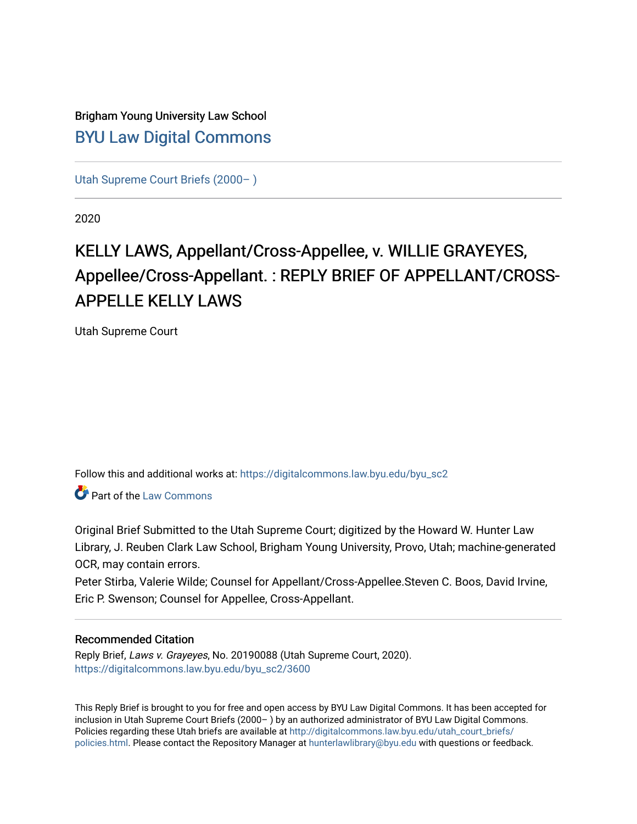# Brigham Young University Law School [BYU Law Digital Commons](https://digitalcommons.law.byu.edu/)

[Utah Supreme Court Briefs \(2000– \)](https://digitalcommons.law.byu.edu/byu_sc2)

2020

# KELLY LAWS, Appellant/Cross-Appellee, v. WILLIE GRAYEYES, Appellee/Cross-Appellant. : REPLY BRIEF OF APPELLANT/CROSS-APPELLE KELLY LAWS

Utah Supreme Court

Follow this and additional works at: [https://digitalcommons.law.byu.edu/byu\\_sc2](https://digitalcommons.law.byu.edu/byu_sc2?utm_source=digitalcommons.law.byu.edu%2Fbyu_sc2%2F3600&utm_medium=PDF&utm_campaign=PDFCoverPages) 

Part of the [Law Commons](https://network.bepress.com/hgg/discipline/578?utm_source=digitalcommons.law.byu.edu%2Fbyu_sc2%2F3600&utm_medium=PDF&utm_campaign=PDFCoverPages)

Original Brief Submitted to the Utah Supreme Court; digitized by the Howard W. Hunter Law Library, J. Reuben Clark Law School, Brigham Young University, Provo, Utah; machine-generated OCR, may contain errors.

Peter Stirba, Valerie Wilde; Counsel for Appellant/Cross-Appellee.Steven C. Boos, David Irvine, Eric P. Swenson; Counsel for Appellee, Cross-Appellant.

#### Recommended Citation

Reply Brief, Laws v. Grayeyes, No. 20190088 (Utah Supreme Court, 2020). [https://digitalcommons.law.byu.edu/byu\\_sc2/3600](https://digitalcommons.law.byu.edu/byu_sc2/3600?utm_source=digitalcommons.law.byu.edu%2Fbyu_sc2%2F3600&utm_medium=PDF&utm_campaign=PDFCoverPages)

This Reply Brief is brought to you for free and open access by BYU Law Digital Commons. It has been accepted for inclusion in Utah Supreme Court Briefs (2000– ) by an authorized administrator of BYU Law Digital Commons. Policies regarding these Utah briefs are available at [http://digitalcommons.law.byu.edu/utah\\_court\\_briefs/](http://digitalcommons.law.byu.edu/utah_court_briefs/policies.html) [policies.html](http://digitalcommons.law.byu.edu/utah_court_briefs/policies.html). Please contact the Repository Manager at hunterlawlibrary@byu.edu with questions or feedback.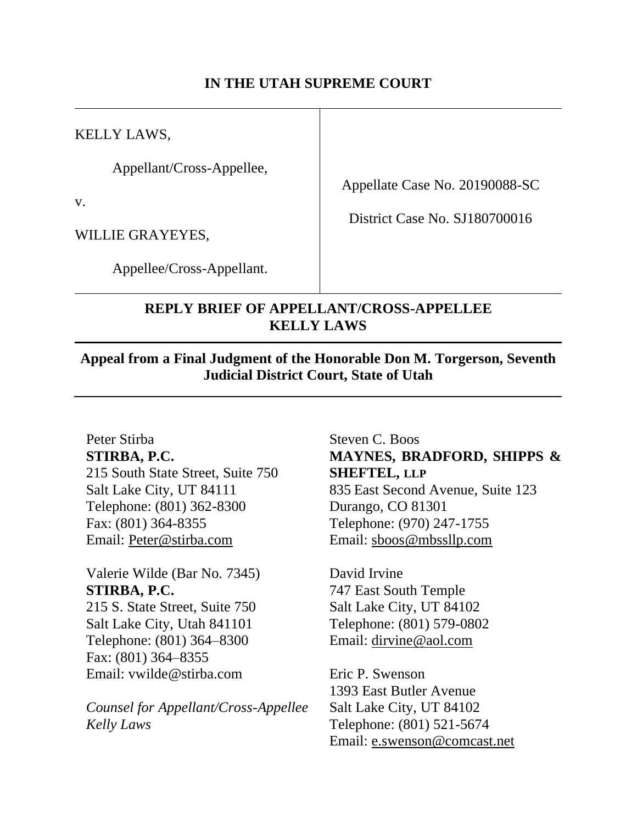# **IN THE UTAH SUPREME COURT**

KELLY LAWS,

Appellant/Cross-Appellee,

v.

WILLIE GRAYEYES,

Appellate Case No. 20190088-SC

District Case No. SJ180700016

Appellee/Cross-Appellant.

# **REPLY BRIEF OF APPELLANT/CROSS-APPELLEE KELLY LAWS**

**Appeal from a Final Judgment of the Honorable Don M. Torgerson, Seventh Judicial District Court, State of Utah**

#### Peter Stirba **STIRBA, P.C.**

215 South State Street, Suite 750 Salt Lake City, UT 84111 Telephone: (801) 362-8300 Fax: (801) 364-8355 Email: Peter@stirba.com

Valerie Wilde (Bar No. 7345) **STIRBA, P.C.**

215 S. State Street, Suite 750 Salt Lake City, Utah 841101 Telephone: (801) 364–8300 Fax: (801) 364–8355 Email: vwilde@stirba.com

*Counsel for Appellant/Cross-Appellee Kelly Laws*

Steven C. Boos **MAYNES, BRADFORD, SHIPPS & SHEFTEL, LLP** 835 East Second Avenue, Suite 123 Durango, CO 81301 Telephone: (970) 247-1755 Email: sboos@mbssllp.com

David Irvine 747 East South Temple Salt Lake City, UT 84102 Telephone: (801) 579-0802 Email: dirvine@aol.com

Eric P. Swenson 1393 East Butler Avenue Salt Lake City, UT 84102 Telephone: (801) 521-5674 Email: e.swenson@comcast.net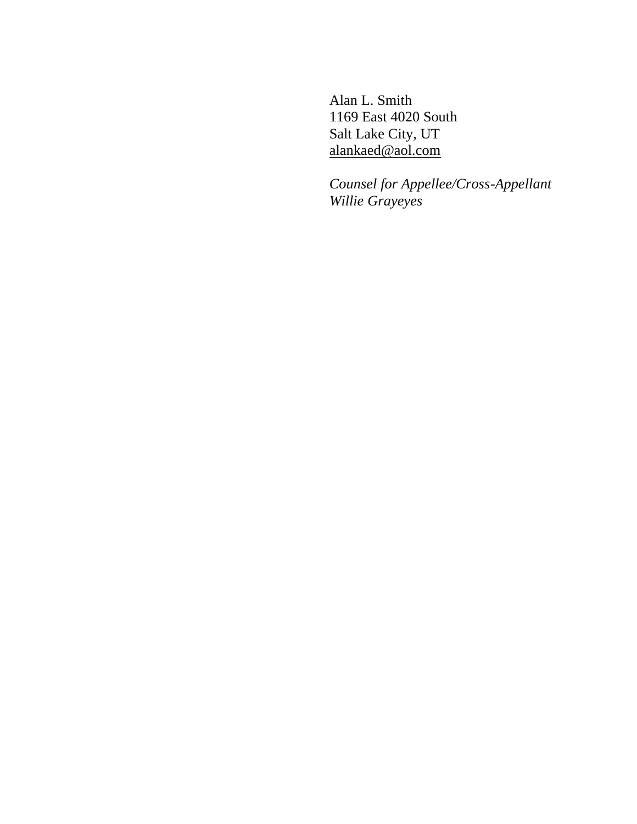Alan L. Smith 1169 East 4020 South Salt Lake City, UT alankaed@aol.com

*Counsel for Appellee/Cross-Appellant Willie Grayeyes*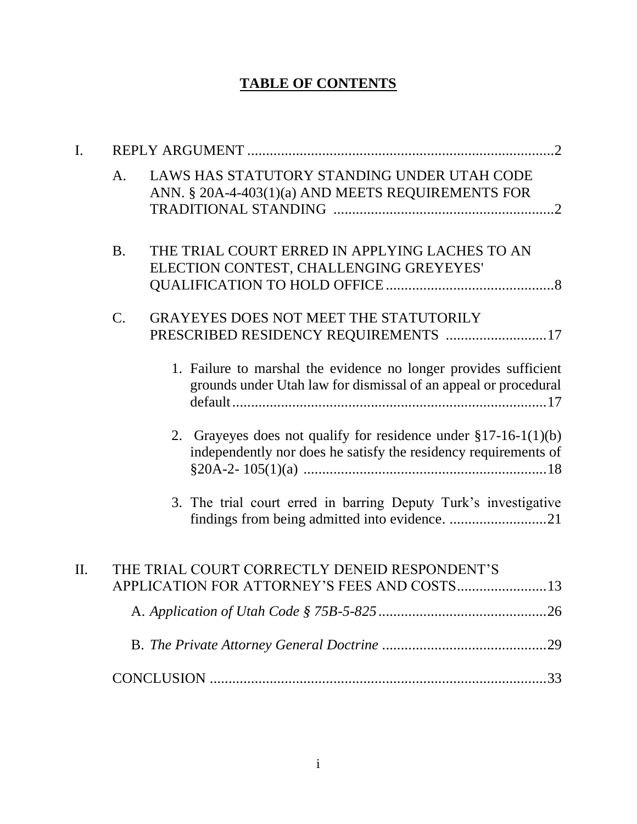# **TABLE OF CONTENTS**

| I.  |             |                                                                                                                                     |  |
|-----|-------------|-------------------------------------------------------------------------------------------------------------------------------------|--|
|     | A.          | LAWS HAS STATUTORY STANDING UNDER UTAH CODE<br>ANN. § 20A-4-403(1)(a) AND MEETS REQUIREMENTS FOR                                    |  |
|     | <b>B.</b>   | THE TRIAL COURT ERRED IN APPLYING LACHES TO AN<br>ELECTION CONTEST, CHALLENGING GREYEYES'                                           |  |
|     | $C_{\cdot}$ | GRAYEYES DOES NOT MEET THE STATUTORILY<br>PRESCRIBED RESIDENCY REQUIREMENTS 17                                                      |  |
|     |             | 1. Failure to marshal the evidence no longer provides sufficient<br>grounds under Utah law for dismissal of an appeal or procedural |  |
|     |             | 2. Grayeyes does not qualify for residence under §17-16-1(1)(b)<br>independently nor does he satisfy the residency requirements of  |  |
|     |             | 3. The trial court erred in barring Deputy Turk's investigative                                                                     |  |
| II. |             | THE TRIAL COURT CORRECTLY DENEID RESPONDENT'S                                                                                       |  |
|     |             |                                                                                                                                     |  |
|     |             |                                                                                                                                     |  |
|     |             |                                                                                                                                     |  |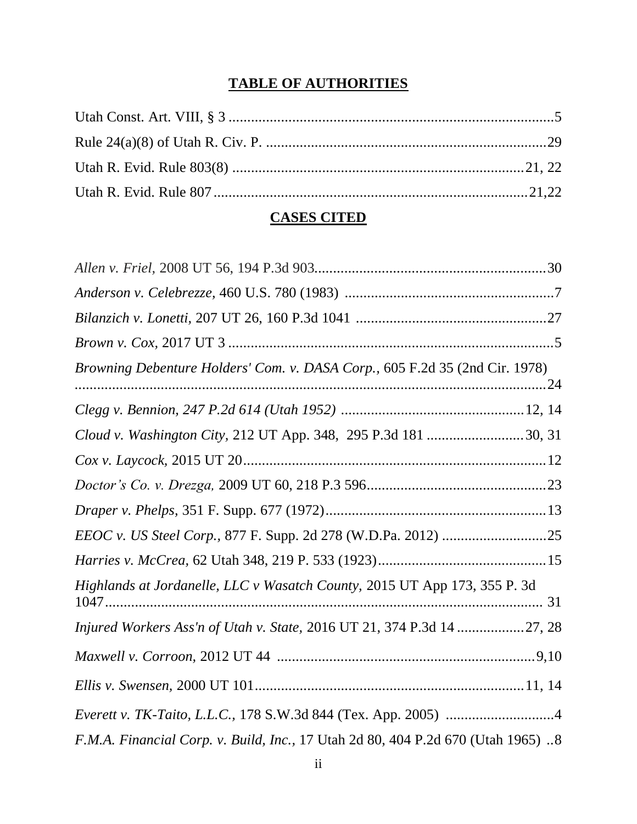# **TABLE OF AUTHORITIES**

# **CASES CITED**

| Browning Debenture Holders' Com. v. DASA Corp., 605 F.2d 35 (2nd Cir. 1978)       |  |
|-----------------------------------------------------------------------------------|--|
|                                                                                   |  |
| Cloud v. Washington City, 212 UT App. 348, 295 P.3d 181 30, 31                    |  |
|                                                                                   |  |
|                                                                                   |  |
|                                                                                   |  |
|                                                                                   |  |
|                                                                                   |  |
| Highlands at Jordanelle, LLC v Wasatch County, 2015 UT App 173, 355 P. 3d         |  |
| Injured Workers Ass'n of Utah v. State, 2016 UT 21, 374 P.3d 14 27, 28            |  |
|                                                                                   |  |
|                                                                                   |  |
|                                                                                   |  |
| F.M.A. Financial Corp. v. Build, Inc., 17 Utah 2d 80, 404 P.2d 670 (Utah 1965). 8 |  |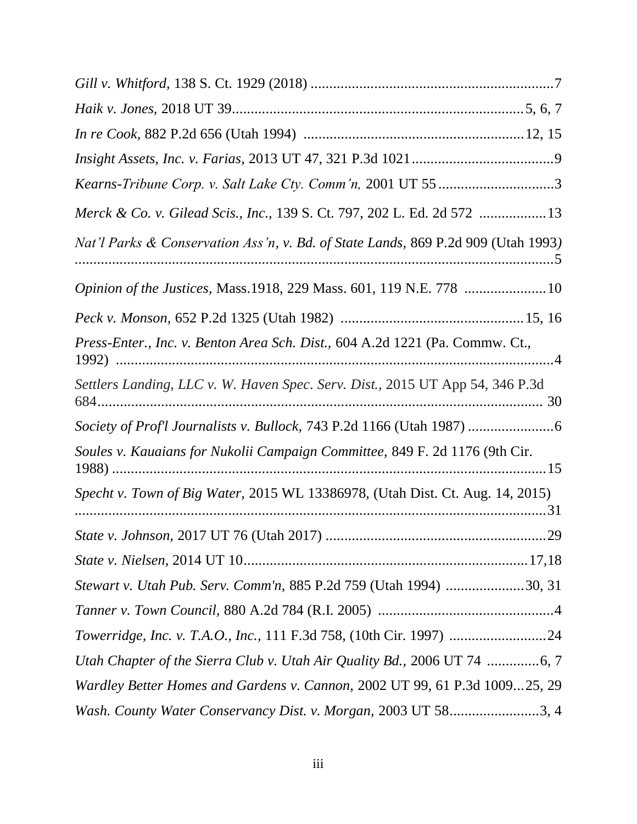| Kearns-Tribune Corp. v. Salt Lake Cty. Comm'n, 2001 UT 55 3                       |
|-----------------------------------------------------------------------------------|
| Merck & Co. v. Gilead Scis., Inc., 139 S. Ct. 797, 202 L. Ed. 2d 572 13           |
| Nat'l Parks & Conservation Ass'n, v. Bd. of State Lands, 869 P.2d 909 (Utah 1993) |
| Opinion of the Justices, Mass.1918, 229 Mass. 601, 119 N.E. 778 10                |
|                                                                                   |
| Press-Enter., Inc. v. Benton Area Sch. Dist., 604 A.2d 1221 (Pa. Commw. Ct.,      |
| Settlers Landing, LLC v. W. Haven Spec. Serv. Dist., 2015 UT App 54, 346 P.3d     |
| Society of Prof'l Journalists v. Bullock, 743 P.2d 1166 (Utah 1987)               |
| Soules v. Kauaians for Nukolii Campaign Committee, 849 F. 2d 1176 (9th Cir.       |
| Specht v. Town of Big Water, 2015 WL 13386978, (Utah Dist. Ct. Aug. 14, 2015)     |
|                                                                                   |
|                                                                                   |
| Stewart v. Utah Pub. Serv. Comm'n, 885 P.2d 759 (Utah 1994) 30, 31                |
|                                                                                   |
| Towerridge, Inc. v. T.A.O., Inc., 111 F.3d 758, (10th Cir. 1997) 24               |
|                                                                                   |
| Wardley Better Homes and Gardens v. Cannon, 2002 UT 99, 61 P.3d 100925, 29        |
| Wash. County Water Conservancy Dist. v. Morgan, 2003 UT 583, 4                    |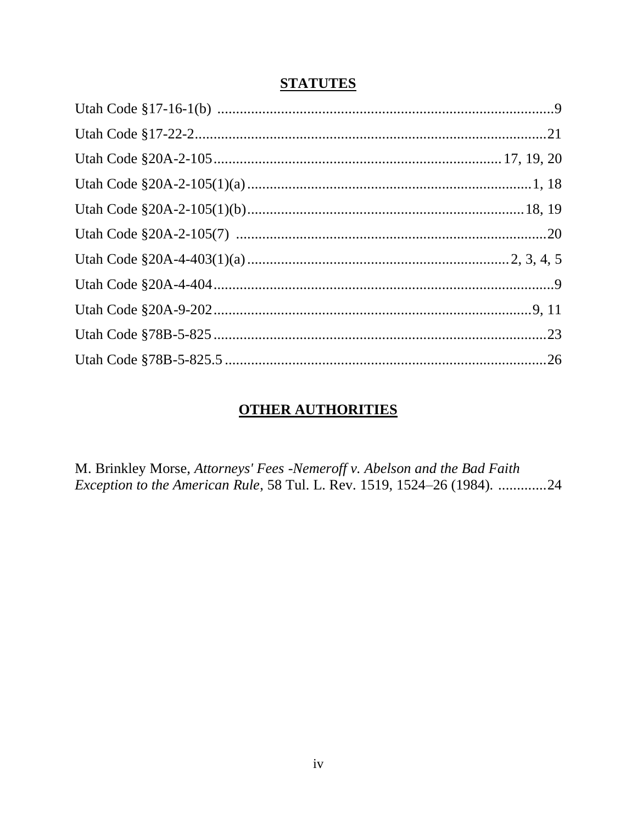# **STATUTES**

# **OTHER AUTHORITIES**

M. Brinkley Morse, Attorneys' Fees -Nemeroff v. Abelson and the Bad Faith Exception to the American Rule, 58 Tul. L. Rev. 1519, 1524-26 (1984). .............24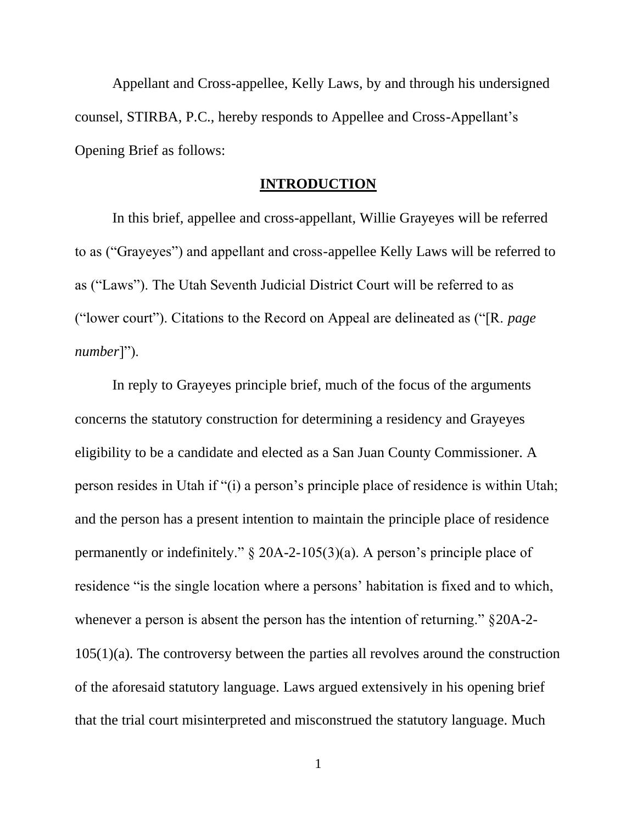Appellant and Cross-appellee, Kelly Laws, by and through his undersigned counsel, STIRBA, P.C., hereby responds to Appellee and Cross-Appellant's Opening Brief as follows:

#### **INTRODUCTION**

In this brief, appellee and cross-appellant, Willie Grayeyes will be referred to as ("Grayeyes") and appellant and cross-appellee Kelly Laws will be referred to as ("Laws"). The Utah Seventh Judicial District Court will be referred to as ("lower court"). Citations to the Record on Appeal are delineated as ("[R. *page number*]").

In reply to Grayeyes principle brief, much of the focus of the arguments concerns the statutory construction for determining a residency and Grayeyes eligibility to be a candidate and elected as a San Juan County Commissioner. A person resides in Utah if "(i) a person's principle place of residence is within Utah; and the person has a present intention to maintain the principle place of residence permanently or indefinitely." § 20A-2-105(3)(a). A person's principle place of residence "is the single location where a persons' habitation is fixed and to which, whenever a person is absent the person has the intention of returning." §20A-2- 105(1)(a). The controversy between the parties all revolves around the construction of the aforesaid statutory language. Laws argued extensively in his opening brief that the trial court misinterpreted and misconstrued the statutory language. Much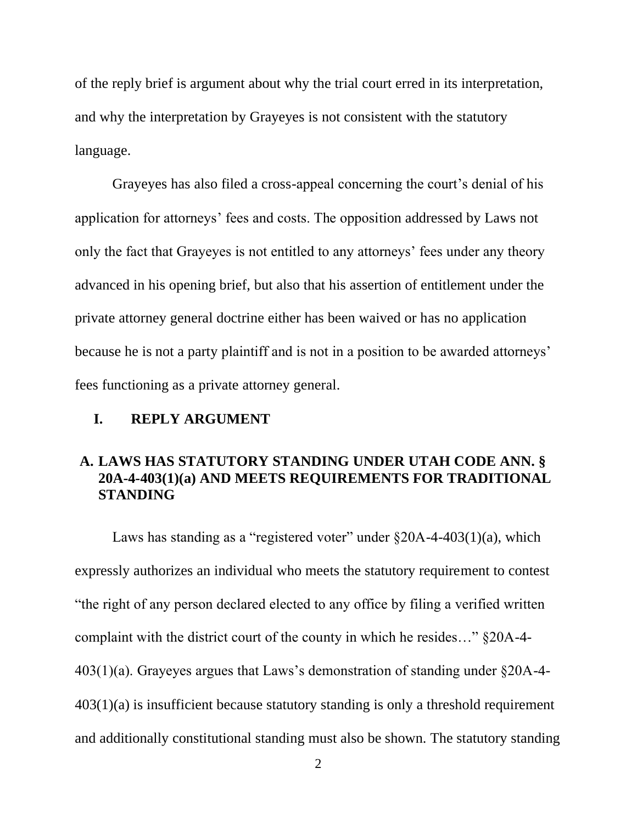of the reply brief is argument about why the trial court erred in its interpretation, and why the interpretation by Grayeyes is not consistent with the statutory language.

Grayeyes has also filed a cross-appeal concerning the court's denial of his application for attorneys' fees and costs. The opposition addressed by Laws not only the fact that Grayeyes is not entitled to any attorneys' fees under any theory advanced in his opening brief, but also that his assertion of entitlement under the private attorney general doctrine either has been waived or has no application because he is not a party plaintiff and is not in a position to be awarded attorneys' fees functioning as a private attorney general.

#### **I. REPLY ARGUMENT**

# **A. LAWS HAS STATUTORY STANDING UNDER UTAH CODE ANN. § 20A-4-403(1)(a) AND MEETS REQUIREMENTS FOR TRADITIONAL STANDING**

Laws has standing as a "registered voter" under  $\S20A-4-403(1)(a)$ , which expressly authorizes an individual who meets the statutory requirement to contest "the right of any person declared elected to any office by filing a verified written complaint with the district court of the county in which he resides…" §20A-4- 403(1)(a). Grayeyes argues that Laws's demonstration of standing under §20A-4- 403(1)(a) is insufficient because statutory standing is only a threshold requirement and additionally constitutional standing must also be shown. The statutory standing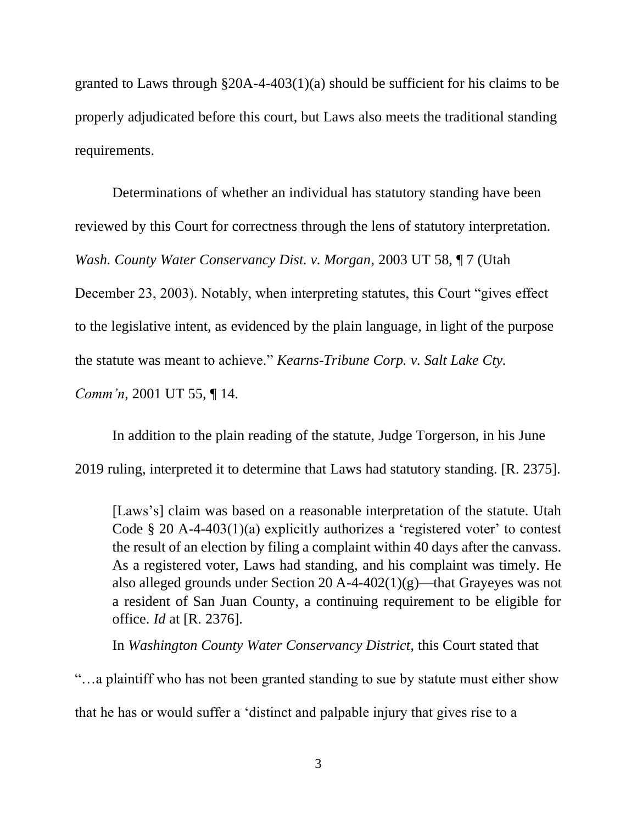granted to Laws through §20A-4-403(1)(a) should be sufficient for his claims to be properly adjudicated before this court, but Laws also meets the traditional standing requirements.

Determinations of whether an individual has statutory standing have been reviewed by this Court for correctness through the lens of statutory interpretation. *Wash. County Water Conservancy Dist. v. Morgan*, 2003 UT 58, ¶ 7 (Utah December 23, 2003). Notably, when interpreting statutes, this Court "gives effect to the legislative intent, as evidenced by the plain language, in light of the purpose the statute was meant to achieve." *Kearns-Tribune Corp. v. Salt Lake Cty. Comm'n*, 2001 UT 55, ¶ 14.

In addition to the plain reading of the statute, Judge Torgerson, in his June 2019 ruling, interpreted it to determine that Laws had statutory standing. [R. 2375].

[Laws's] claim was based on a reasonable interpretation of the statute. Utah Code § 20 A-4-403(1)(a) explicitly authorizes a 'registered voter' to contest the result of an election by filing a complaint within 40 days after the canvass. As a registered voter, Laws had standing, and his complaint was timely. He also alleged grounds under Section 20 A-4-402(1)(g)—that Grayeyes was not a resident of San Juan County, a continuing requirement to be eligible for office. *Id* at [R. 2376].

In *Washington County Water Conservancy District*, this Court stated that

"…a plaintiff who has not been granted standing to sue by statute must either show that he has or would suffer a 'distinct and palpable injury that gives rise to a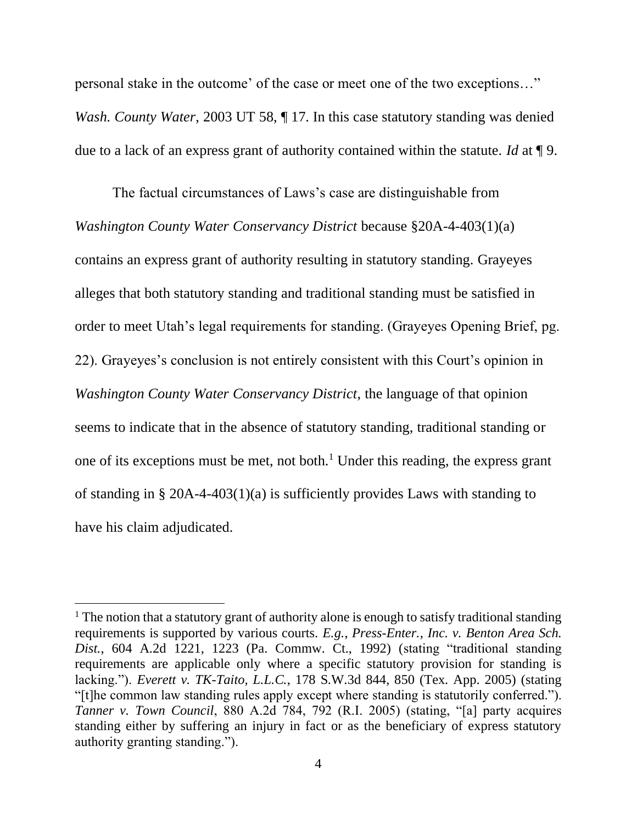personal stake in the outcome' of the case or meet one of the two exceptions…" *Wash. County Water*, 2003 UT 58,  $\P$  17. In this case statutory standing was denied due to a lack of an express grant of authority contained within the statute. *Id* at ¶ 9.

The factual circumstances of Laws's case are distinguishable from *Washington County Water Conservancy District* because §20A-4-403(1)(a) contains an express grant of authority resulting in statutory standing. Grayeyes alleges that both statutory standing and traditional standing must be satisfied in order to meet Utah's legal requirements for standing. (Grayeyes Opening Brief, pg. 22). Grayeyes's conclusion is not entirely consistent with this Court's opinion in *Washington County Water Conservancy District*, the language of that opinion seems to indicate that in the absence of statutory standing, traditional standing or one of its exceptions must be met, not both.<sup>1</sup> Under this reading, the express grant of standing in § 20A-4-403(1)(a) is sufficiently provides Laws with standing to have his claim adjudicated.

<sup>&</sup>lt;sup>1</sup> The notion that a statutory grant of authority alone is enough to satisfy traditional standing requirements is supported by various courts. *E.g.*, *Press-Enter., Inc. v. Benton Area Sch. Dist.*, 604 A.2d 1221, 1223 (Pa. Commw. Ct., 1992) (stating "traditional standing requirements are applicable only where a specific statutory provision for standing is lacking."). *Everett v. TK-Taito, L.L.C.*, 178 S.W.3d 844, 850 (Tex. App. 2005) (stating "[t]he common law standing rules apply except where standing is statutorily conferred."). *Tanner v. Town Council*, 880 A.2d 784, 792 (R.I. 2005) (stating, "[a] party acquires standing either by suffering an injury in fact or as the beneficiary of express statutory authority granting standing.").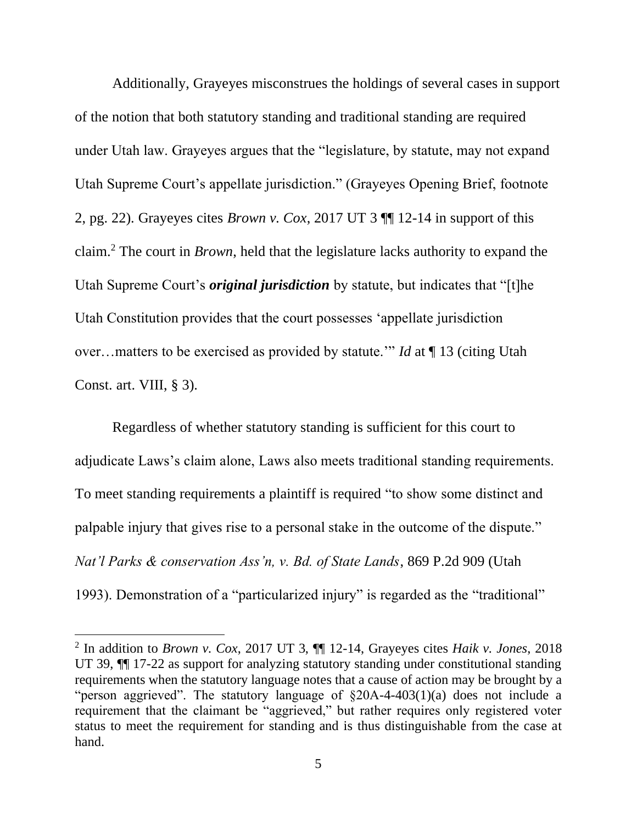Additionally, Grayeyes misconstrues the holdings of several cases in support of the notion that both statutory standing and traditional standing are required under Utah law. Grayeyes argues that the "legislature, by statute, may not expand Utah Supreme Court's appellate jurisdiction." (Grayeyes Opening Brief, footnote 2, pg. 22). Grayeyes cites *Brown v. Cox*, 2017 UT 3 ¶¶ 12-14 in support of this claim.<sup>2</sup> The court in *Brown*, held that the legislature lacks authority to expand the Utah Supreme Court's *original jurisdiction* by statute, but indicates that "[t]he Utah Constitution provides that the court possesses 'appellate jurisdiction over…matters to be exercised as provided by statute.'" *Id* at ¶ 13 (citing Utah Const. art. VIII, § 3).

Regardless of whether statutory standing is sufficient for this court to adjudicate Laws's claim alone, Laws also meets traditional standing requirements. To meet standing requirements a plaintiff is required "to show some distinct and palpable injury that gives rise to a personal stake in the outcome of the dispute." *Nat'l Parks & conservation Ass'n, v. Bd. of State Lands*, 869 P.2d 909 (Utah 1993). Demonstration of a "particularized injury" is regarded as the "traditional"

<sup>2</sup> In addition to *Brown v. Cox*, 2017 UT 3, ¶¶ 12-14, Grayeyes cites *Haik v. Jones*, 2018 UT 39,  $\P$  17-22 as support for analyzing statutory standing under constitutional standing requirements when the statutory language notes that a cause of action may be brought by a "person aggrieved". The statutory language of §20A-4-403(1)(a) does not include a requirement that the claimant be "aggrieved," but rather requires only registered voter status to meet the requirement for standing and is thus distinguishable from the case at hand.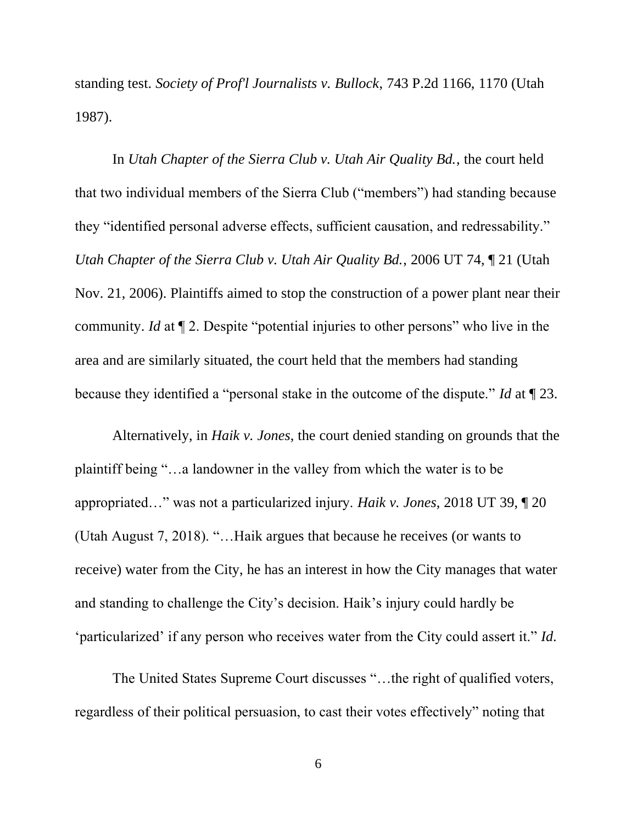standing test. *Society of Prof'l Journalists v. Bullock*, 743 P.2d 1166, 1170 (Utah 1987).

In *Utah Chapter of the Sierra Club v. Utah Air Quality Bd.*, the court held that two individual members of the Sierra Club ("members") had standing because they "identified personal adverse effects, sufficient causation, and redressability." *Utah Chapter of the Sierra Club v. Utah Air Quality Bd.*, 2006 UT 74, ¶ 21 (Utah Nov. 21, 2006). Plaintiffs aimed to stop the construction of a power plant near their community. *Id* at ¶ 2. Despite "potential injuries to other persons" who live in the area and are similarly situated, the court held that the members had standing because they identified a "personal stake in the outcome of the dispute." *Id* at ¶ 23.

Alternatively, in *Haik v. Jones*, the court denied standing on grounds that the plaintiff being "…a landowner in the valley from which the water is to be appropriated…" was not a particularized injury. *Haik v. Jones*, 2018 UT 39, ¶ 20 (Utah August 7, 2018). "…Haik argues that because he receives (or wants to receive) water from the City, he has an interest in how the City manages that water and standing to challenge the City's decision. Haik's injury could hardly be 'particularized' if any person who receives water from the City could assert it." *Id*.

The United States Supreme Court discusses "…the right of qualified voters, regardless of their political persuasion, to cast their votes effectively" noting that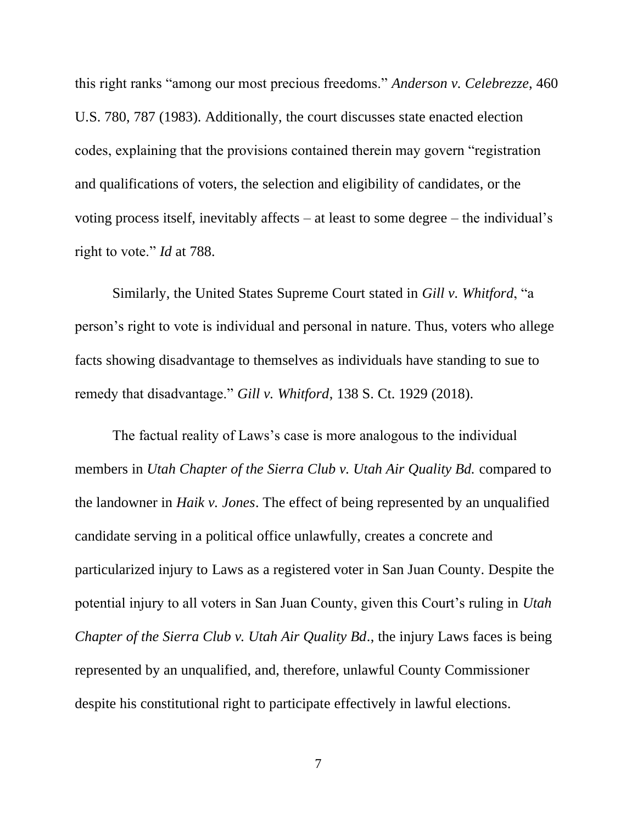this right ranks "among our most precious freedoms." *Anderson v. Celebrezze*, 460 U.S. 780, 787 (1983). Additionally, the court discusses state enacted election codes, explaining that the provisions contained therein may govern "registration and qualifications of voters, the selection and eligibility of candidates, or the voting process itself, inevitably affects – at least to some degree – the individual's right to vote." *Id* at 788.

Similarly, the United States Supreme Court stated in *Gill v. Whitford*, "a person's right to vote is individual and personal in nature. Thus, voters who allege facts showing disadvantage to themselves as individuals have standing to sue to remedy that disadvantage." *Gill v. Whitford*, 138 S. Ct. 1929 (2018).

The factual reality of Laws's case is more analogous to the individual members in *Utah Chapter of the Sierra Club v. Utah Air Quality Bd.* compared to the landowner in *Haik v. Jones*. The effect of being represented by an unqualified candidate serving in a political office unlawfully, creates a concrete and particularized injury to Laws as a registered voter in San Juan County. Despite the potential injury to all voters in San Juan County, given this Court's ruling in *Utah Chapter of the Sierra Club v. Utah Air Quality Bd*., the injury Laws faces is being represented by an unqualified, and, therefore, unlawful County Commissioner despite his constitutional right to participate effectively in lawful elections.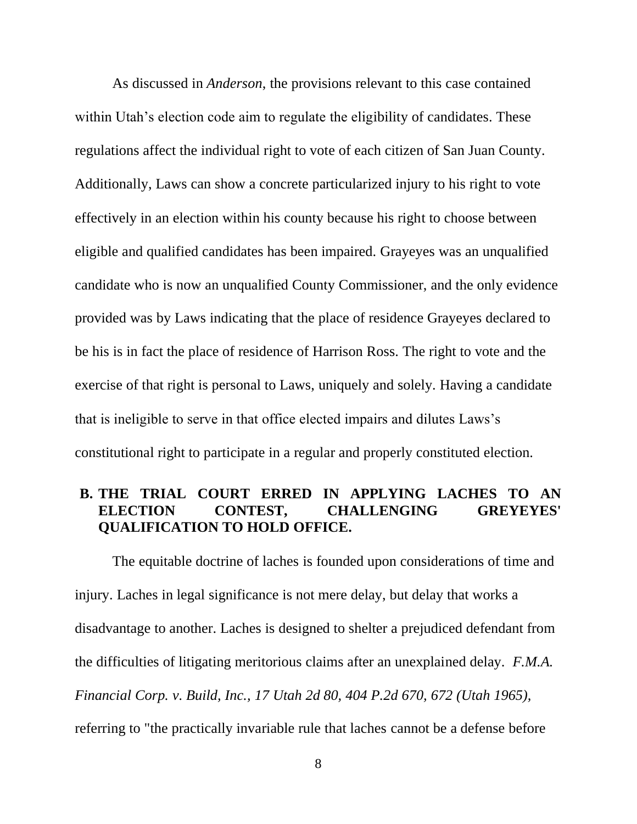As discussed in *Anderson*, the provisions relevant to this case contained within Utah's election code aim to regulate the eligibility of candidates. These regulations affect the individual right to vote of each citizen of San Juan County. Additionally, Laws can show a concrete particularized injury to his right to vote effectively in an election within his county because his right to choose between eligible and qualified candidates has been impaired. Grayeyes was an unqualified candidate who is now an unqualified County Commissioner, and the only evidence provided was by Laws indicating that the place of residence Grayeyes declared to be his is in fact the place of residence of Harrison Ross. The right to vote and the exercise of that right is personal to Laws, uniquely and solely. Having a candidate that is ineligible to serve in that office elected impairs and dilutes Laws's constitutional right to participate in a regular and properly constituted election.

### **B. THE TRIAL COURT ERRED IN APPLYING LACHES TO AN ELECTION CONTEST, CHALLENGING GREYEYES' QUALIFICATION TO HOLD OFFICE.**

The equitable doctrine of laches is founded upon considerations of time and injury. Laches in legal significance is not mere delay, but delay that works a disadvantage to another. Laches is designed to shelter a prejudiced defendant from the difficulties of litigating meritorious claims after an unexplained delay. *F.M.A. Financial Corp. v. Build, Inc., 17 Utah 2d 80, 404 P.2d 670, 672 (Utah 1965),* referring to "the practically invariable rule that laches cannot be a defense before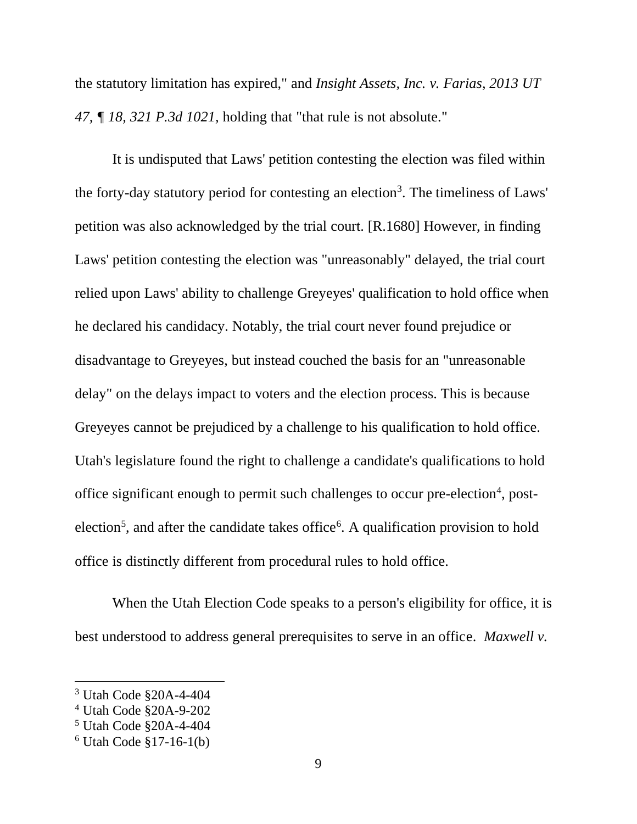the statutory limitation has expired," and *Insight Assets, Inc. v. Farias, 2013 UT 47, ¶ 18, 321 P.3d 1021,* holding that "that rule is not absolute."

It is undisputed that Laws' petition contesting the election was filed within the forty-day statutory period for contesting an election<sup>3</sup>. The timeliness of Laws' petition was also acknowledged by the trial court. [R.1680] However, in finding Laws' petition contesting the election was "unreasonably" delayed, the trial court relied upon Laws' ability to challenge Greyeyes' qualification to hold office when he declared his candidacy. Notably, the trial court never found prejudice or disadvantage to Greyeyes, but instead couched the basis for an "unreasonable delay" on the delays impact to voters and the election process. This is because Greyeyes cannot be prejudiced by a challenge to his qualification to hold office. Utah's legislature found the right to challenge a candidate's qualifications to hold office significant enough to permit such challenges to occur pre-election<sup>4</sup>, postelection<sup>5</sup>, and after the candidate takes office<sup>6</sup>. A qualification provision to hold office is distinctly different from procedural rules to hold office.

When the Utah Election Code speaks to a person's eligibility for office, it is best understood to address general prerequisites to serve in an office. *Maxwell v.* 

<sup>3</sup> Utah Code §20A-4-404

<sup>4</sup> Utah Code §20A-9-202

<sup>5</sup> Utah Code §20A-4-404

 $6$  Utah Code  $$17-16-1(b)$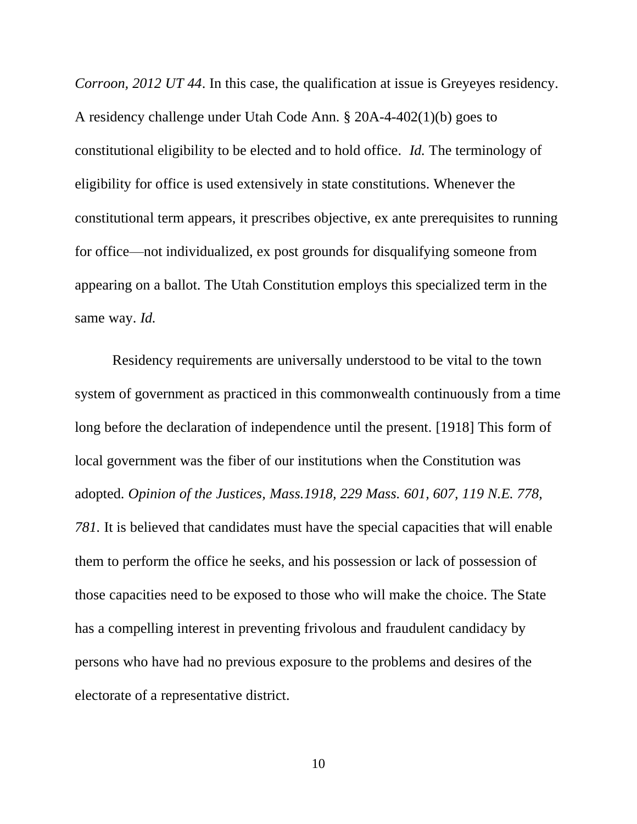*Corroon, 2012 UT 44*. In this case, the qualification at issue is Greyeyes residency. A residency challenge under Utah Code Ann. § 20A-4-402(1)(b) goes to constitutional eligibility to be elected and to hold office. *Id.* The terminology of eligibility for office is used extensively in state constitutions. Whenever the constitutional term appears, it prescribes objective, ex ante prerequisites to running for office—not individualized, ex post grounds for disqualifying someone from appearing on a ballot. The Utah Constitution employs this specialized term in the same way. *Id.*

Residency requirements are universally understood to be vital to the town system of government as practiced in this commonwealth continuously from a time long before the declaration of independence until the present. [1918] This form of local government was the fiber of our institutions when the Constitution was adopted. *Opinion of the Justices, Mass.1918, 229 Mass. 601, 607, 119 N.E. 778, 781.* It is believed that candidates must have the special capacities that will enable them to perform the office he seeks, and his possession or lack of possession of those capacities need to be exposed to those who will make the choice. The State has a compelling interest in preventing frivolous and fraudulent candidacy by persons who have had no previous exposure to the problems and desires of the electorate of a representative district.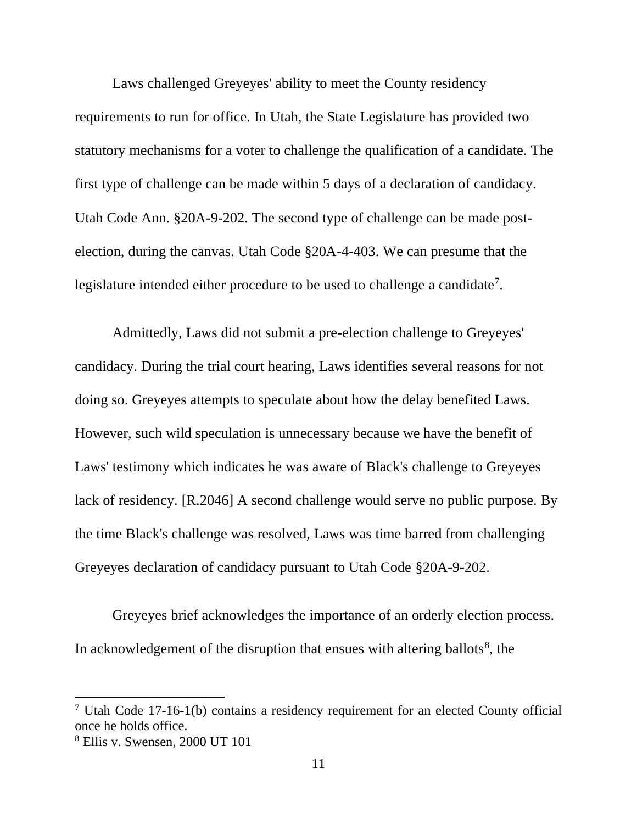Laws challenged Greyeyes' ability to meet the County residency requirements to run for office. In Utah, the State Legislature has provided two statutory mechanisms for a voter to challenge the qualification of a candidate. The first type of challenge can be made within 5 days of a declaration of candidacy. Utah Code Ann. §20A-9-202. The second type of challenge can be made postelection, during the canvas. Utah Code §20A-4-403. We can presume that the legislature intended either procedure to be used to challenge a candidate<sup>7</sup>.

Admittedly, Laws did not submit a pre-election challenge to Greyeyes' candidacy. During the trial court hearing, Laws identifies several reasons for not doing so. Greyeyes attempts to speculate about how the delay benefited Laws. However, such wild speculation is unnecessary because we have the benefit of Laws' testimony which indicates he was aware of Black's challenge to Greyeyes lack of residency. [R.2046] A second challenge would serve no public purpose. By the time Black's challenge was resolved, Laws was time barred from challenging Greyeyes declaration of candidacy pursuant to Utah Code §20A-9-202.

Greyeyes brief acknowledges the importance of an orderly election process. In acknowledgement of the disruption that ensues with altering ballots $<sup>8</sup>$ , the</sup>

<sup>7</sup> Utah Code 17-16-1(b) contains a residency requirement for an elected County official once he holds office.

<sup>8</sup> Ellis v. Swensen, 2000 UT 101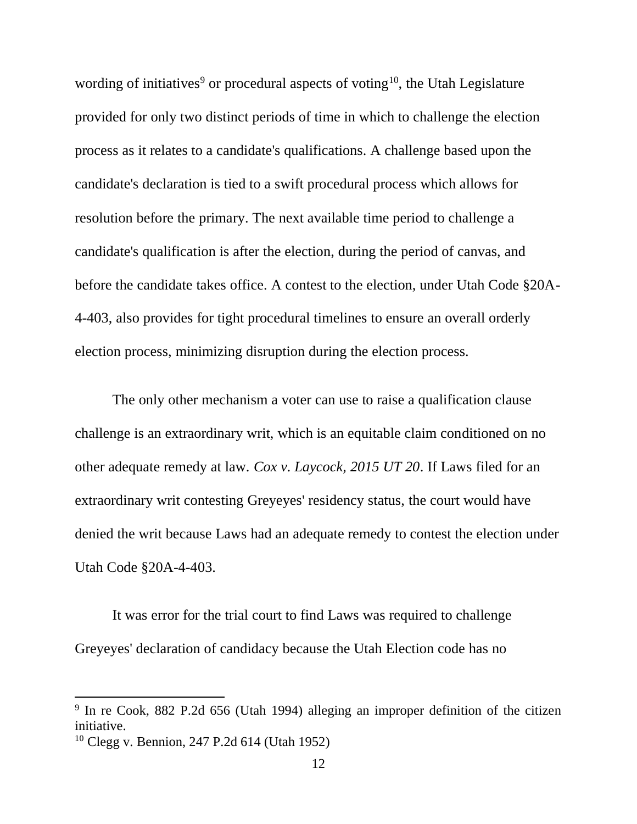wording of initiatives<sup>9</sup> or procedural aspects of voting<sup>10</sup>, the Utah Legislature provided for only two distinct periods of time in which to challenge the election process as it relates to a candidate's qualifications. A challenge based upon the candidate's declaration is tied to a swift procedural process which allows for resolution before the primary. The next available time period to challenge a candidate's qualification is after the election, during the period of canvas, and before the candidate takes office. A contest to the election, under Utah Code §20A-4-403, also provides for tight procedural timelines to ensure an overall orderly election process, minimizing disruption during the election process.

The only other mechanism a voter can use to raise a qualification clause challenge is an extraordinary writ, which is an equitable claim conditioned on no other adequate remedy at law. *Cox v. Laycock, 2015 UT 20*. If Laws filed for an extraordinary writ contesting Greyeyes' residency status, the court would have denied the writ because Laws had an adequate remedy to contest the election under Utah Code §20A-4-403.

It was error for the trial court to find Laws was required to challenge Greyeyes' declaration of candidacy because the Utah Election code has no

<sup>&</sup>lt;sup>9</sup> In re Cook, 882 P.2d 656 (Utah 1994) alleging an improper definition of the citizen initiative.

<sup>10</sup> Clegg v. Bennion, 247 P.2d 614 (Utah 1952)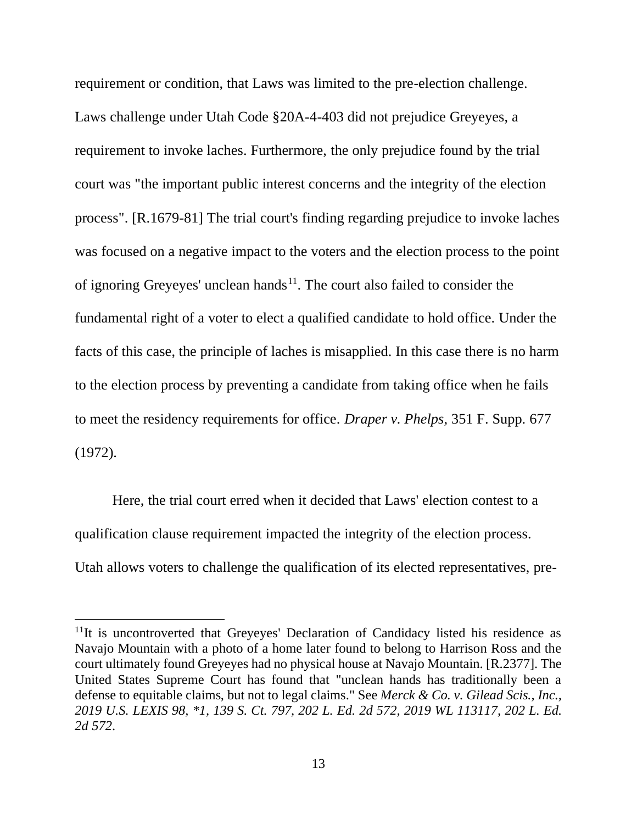requirement or condition, that Laws was limited to the pre-election challenge. Laws challenge under Utah Code §20A-4-403 did not prejudice Greyeyes, a requirement to invoke laches. Furthermore, the only prejudice found by the trial court was "the important public interest concerns and the integrity of the election process". [R.1679-81] The trial court's finding regarding prejudice to invoke laches was focused on a negative impact to the voters and the election process to the point of ignoring Greyeyes' unclean hands $11$ . The court also failed to consider the fundamental right of a voter to elect a qualified candidate to hold office. Under the facts of this case, the principle of laches is misapplied. In this case there is no harm to the election process by preventing a candidate from taking office when he fails to meet the residency requirements for office. *Draper v. Phelps*, 351 F. Supp. 677 (1972).

Here, the trial court erred when it decided that Laws' election contest to a qualification clause requirement impacted the integrity of the election process. Utah allows voters to challenge the qualification of its elected representatives, pre-

<sup>&</sup>lt;sup>11</sup>It is uncontroverted that Greyeyes' Declaration of Candidacy listed his residence as Navajo Mountain with a photo of a home later found to belong to Harrison Ross and the court ultimately found Greyeyes had no physical house at Navajo Mountain. [R.2377]. The United States Supreme Court has found that "unclean hands has traditionally been a defense to equitable claims, but not to legal claims." See *Merck & Co. v. Gilead Scis., Inc.,* 2019 U.S. LEXIS 98, \*1, 139 S. Ct. 797, 202 L. Ed. 2d 572, 2019 WL 113117, 202 L. Ed. *2d 572*.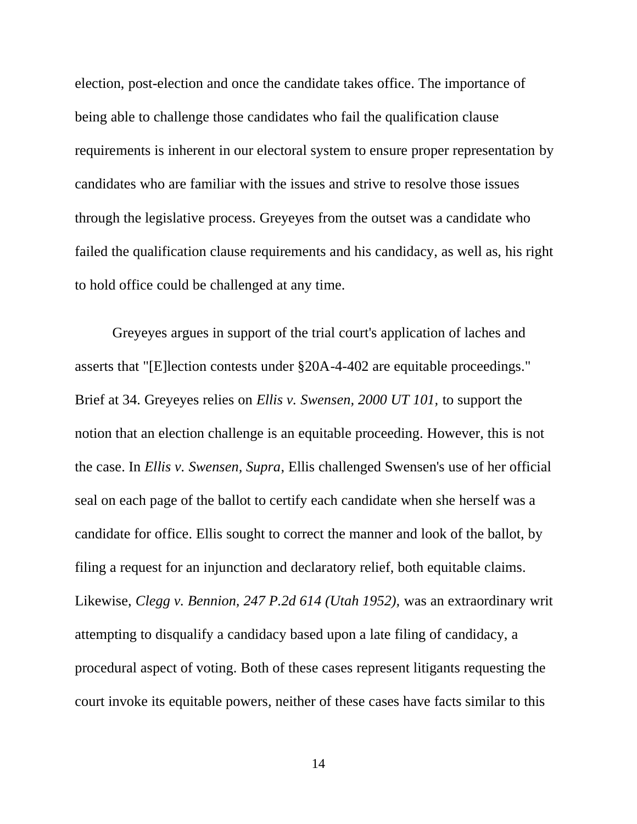election, post-election and once the candidate takes office. The importance of being able to challenge those candidates who fail the qualification clause requirements is inherent in our electoral system to ensure proper representation by candidates who are familiar with the issues and strive to resolve those issues through the legislative process. Greyeyes from the outset was a candidate who failed the qualification clause requirements and his candidacy, as well as, his right to hold office could be challenged at any time.

Greyeyes argues in support of the trial court's application of laches and asserts that "[E]lection contests under §20A-4-402 are equitable proceedings." Brief at 34. Greyeyes relies on *Ellis v. Swensen, 2000 UT 101,* to support the notion that an election challenge is an equitable proceeding. However, this is not the case. In *Ellis v. Swensen, Supra*, Ellis challenged Swensen's use of her official seal on each page of the ballot to certify each candidate when she herself was a candidate for office. Ellis sought to correct the manner and look of the ballot, by filing a request for an injunction and declaratory relief, both equitable claims. Likewise, *Clegg v. Bennion, 247 P.2d 614 (Utah 1952),* was an extraordinary writ attempting to disqualify a candidacy based upon a late filing of candidacy, a procedural aspect of voting. Both of these cases represent litigants requesting the court invoke its equitable powers, neither of these cases have facts similar to this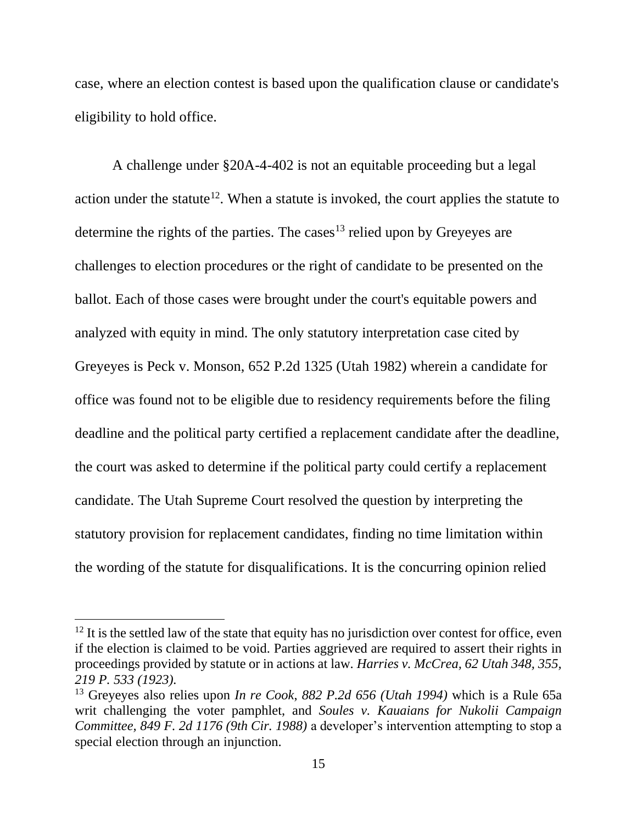case, where an election contest is based upon the qualification clause or candidate's eligibility to hold office.

A challenge under §20A-4-402 is not an equitable proceeding but a legal action under the statute<sup>12</sup>. When a statute is invoked, the court applies the statute to determine the rights of the parties. The cases  $13$  relied upon by Greyeyes are challenges to election procedures or the right of candidate to be presented on the ballot. Each of those cases were brought under the court's equitable powers and analyzed with equity in mind. The only statutory interpretation case cited by Greyeyes is Peck v. Monson, 652 P.2d 1325 (Utah 1982) wherein a candidate for office was found not to be eligible due to residency requirements before the filing deadline and the political party certified a replacement candidate after the deadline, the court was asked to determine if the political party could certify a replacement candidate. The Utah Supreme Court resolved the question by interpreting the statutory provision for replacement candidates, finding no time limitation within the wording of the statute for disqualifications. It is the concurring opinion relied

 $12$  It is the settled law of the state that equity has no jurisdiction over contest for office, even if the election is claimed to be void. Parties aggrieved are required to assert their rights in proceedings provided by statute or in actions at law. *Harries v. McCrea, 62 Utah 348, 355, 219 P. 533 (1923).*

<sup>13</sup> Greyeyes also relies upon *In re Cook*, *882 P.2d 656 (Utah 1994)* which is a Rule 65a writ challenging the voter pamphlet, and *Soules v. Kauaians for Nukolii Campaign Committee, 849 F. 2d 1176 (9th Cir. 1988)* a developer's intervention attempting to stop a special election through an injunction.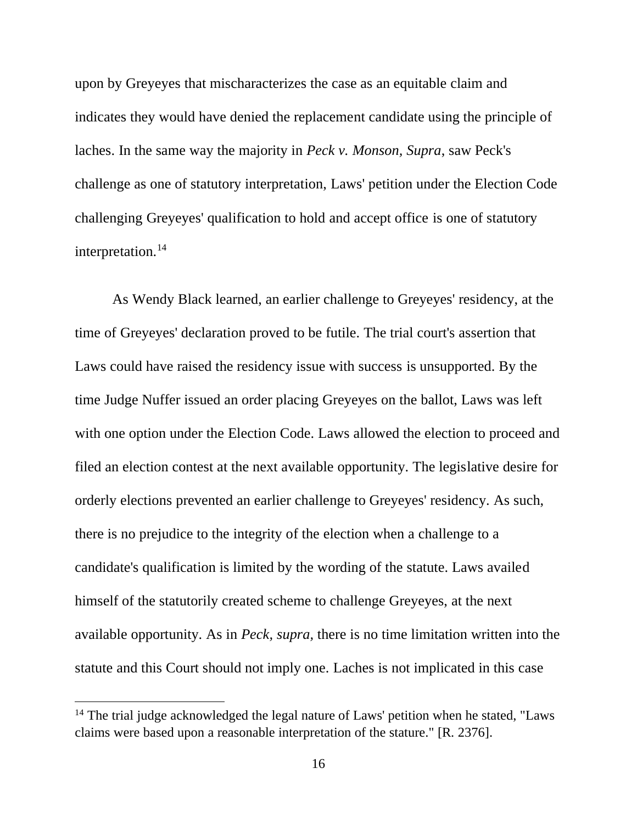upon by Greyeyes that mischaracterizes the case as an equitable claim and indicates they would have denied the replacement candidate using the principle of laches. In the same way the majority in *Peck v. Monson, Supra*, saw Peck's challenge as one of statutory interpretation, Laws' petition under the Election Code challenging Greyeyes' qualification to hold and accept office is one of statutory interpretation.<sup>14</sup>

As Wendy Black learned, an earlier challenge to Greyeyes' residency, at the time of Greyeyes' declaration proved to be futile. The trial court's assertion that Laws could have raised the residency issue with success is unsupported. By the time Judge Nuffer issued an order placing Greyeyes on the ballot, Laws was left with one option under the Election Code. Laws allowed the election to proceed and filed an election contest at the next available opportunity. The legislative desire for orderly elections prevented an earlier challenge to Greyeyes' residency. As such, there is no prejudice to the integrity of the election when a challenge to a candidate's qualification is limited by the wording of the statute. Laws availed himself of the statutorily created scheme to challenge Greyeyes, at the next available opportunity. As in *Peck, supra,* there is no time limitation written into the statute and this Court should not imply one. Laches is not implicated in this case

<sup>&</sup>lt;sup>14</sup> The trial judge acknowledged the legal nature of Laws' petition when he stated, "Laws" claims were based upon a reasonable interpretation of the stature." [R. 2376].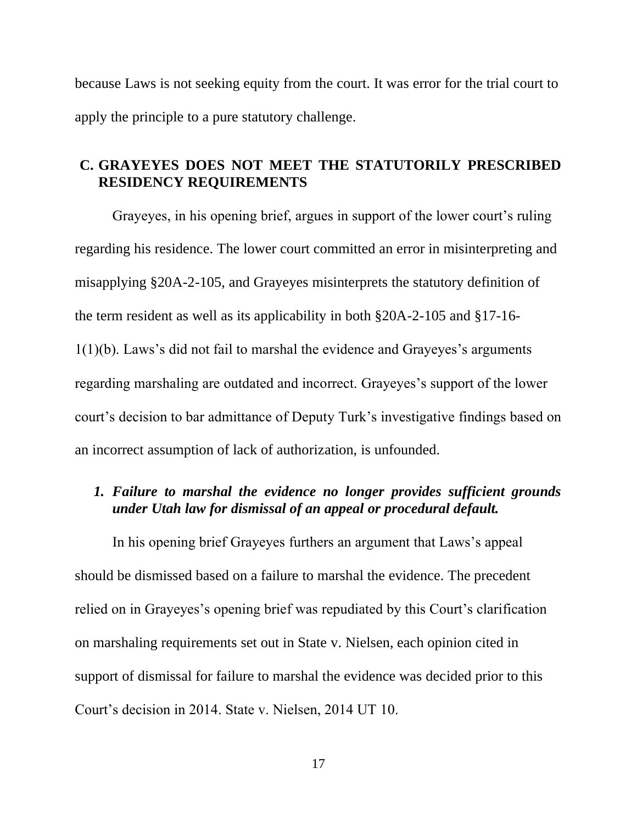because Laws is not seeking equity from the court. It was error for the trial court to apply the principle to a pure statutory challenge.

#### **C. GRAYEYES DOES NOT MEET THE STATUTORILY PRESCRIBED RESIDENCY REQUIREMENTS**

Grayeyes, in his opening brief, argues in support of the lower court's ruling regarding his residence. The lower court committed an error in misinterpreting and misapplying §20A-2-105, and Grayeyes misinterprets the statutory definition of the term resident as well as its applicability in both §20A-2-105 and §17-16- 1(1)(b). Laws's did not fail to marshal the evidence and Grayeyes's arguments regarding marshaling are outdated and incorrect. Grayeyes's support of the lower court's decision to bar admittance of Deputy Turk's investigative findings based on an incorrect assumption of lack of authorization, is unfounded.

# *1. Failure to marshal the evidence no longer provides sufficient grounds under Utah law for dismissal of an appeal or procedural default.*

In his opening brief Grayeyes furthers an argument that Laws's appeal should be dismissed based on a failure to marshal the evidence. The precedent relied on in Grayeyes's opening brief was repudiated by this Court's clarification on marshaling requirements set out in State v. Nielsen, each opinion cited in support of dismissal for failure to marshal the evidence was decided prior to this Court's decision in 2014. State v. Nielsen, 2014 UT 10.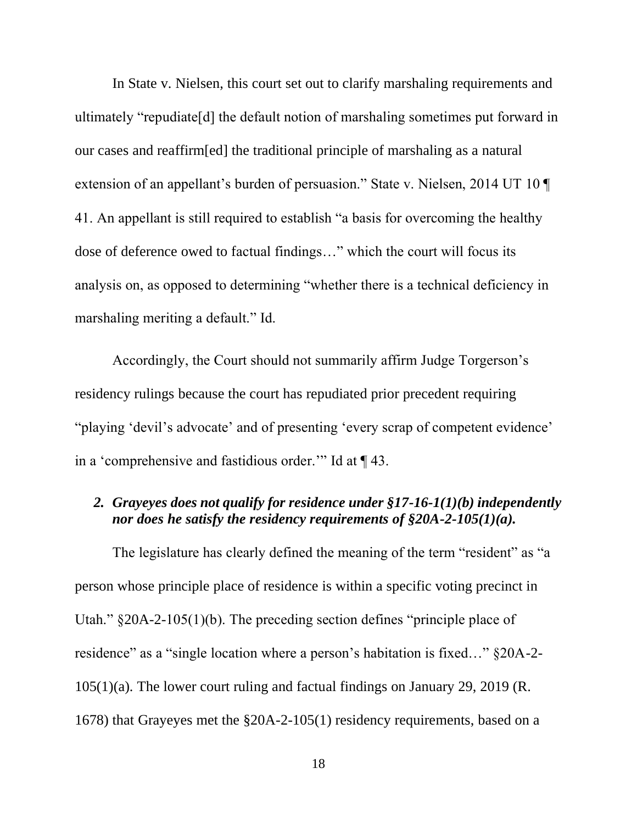In State v. Nielsen, this court set out to clarify marshaling requirements and ultimately "repudiate[d] the default notion of marshaling sometimes put forward in our cases and reaffirm[ed] the traditional principle of marshaling as a natural extension of an appellant's burden of persuasion." State v. Nielsen, 2014 UT 10 ¶ 41. An appellant is still required to establish "a basis for overcoming the healthy dose of deference owed to factual findings…" which the court will focus its analysis on, as opposed to determining "whether there is a technical deficiency in marshaling meriting a default." Id.

Accordingly, the Court should not summarily affirm Judge Torgerson's residency rulings because the court has repudiated prior precedent requiring "playing 'devil's advocate' and of presenting 'every scrap of competent evidence' in a 'comprehensive and fastidious order.'" Id at ¶ 43.

# *2. Grayeyes does not qualify for residence under §17-16-1(1)(b) independently nor does he satisfy the residency requirements of §20A-2-105(1)(a).*

The legislature has clearly defined the meaning of the term "resident" as "a person whose principle place of residence is within a specific voting precinct in Utah." §20A-2-105(1)(b). The preceding section defines "principle place of residence" as a "single location where a person's habitation is fixed…" §20A-2- 105(1)(a). The lower court ruling and factual findings on January 29, 2019 (R. 1678) that Grayeyes met the §20A-2-105(1) residency requirements, based on a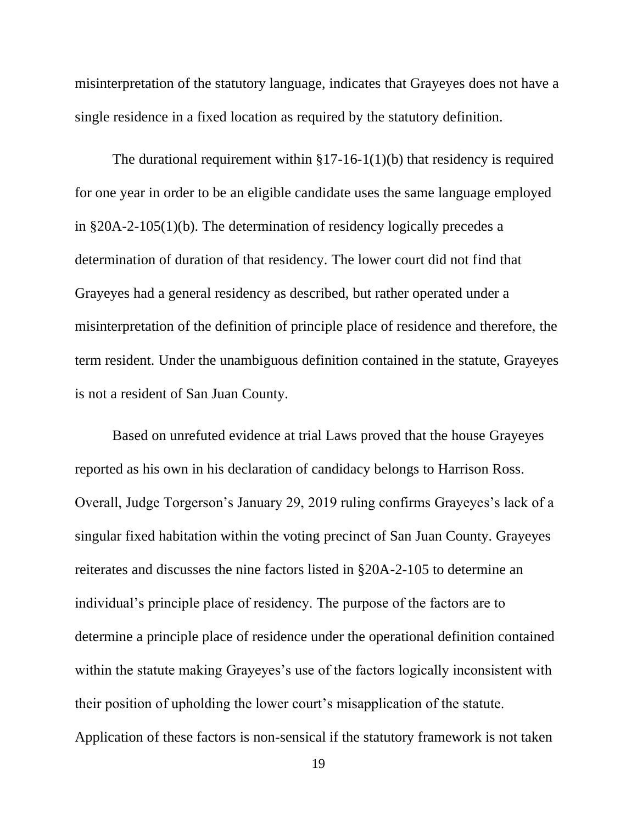misinterpretation of the statutory language, indicates that Grayeyes does not have a single residence in a fixed location as required by the statutory definition.

The durational requirement within  $\S 17-16-1(1)(b)$  that residency is required for one year in order to be an eligible candidate uses the same language employed in §20A-2-105(1)(b). The determination of residency logically precedes a determination of duration of that residency. The lower court did not find that Grayeyes had a general residency as described, but rather operated under a misinterpretation of the definition of principle place of residence and therefore, the term resident. Under the unambiguous definition contained in the statute, Grayeyes is not a resident of San Juan County.

Based on unrefuted evidence at trial Laws proved that the house Grayeyes reported as his own in his declaration of candidacy belongs to Harrison Ross. Overall, Judge Torgerson's January 29, 2019 ruling confirms Grayeyes's lack of a singular fixed habitation within the voting precinct of San Juan County. Grayeyes reiterates and discusses the nine factors listed in §20A-2-105 to determine an individual's principle place of residency. The purpose of the factors are to determine a principle place of residence under the operational definition contained within the statute making Grayeyes's use of the factors logically inconsistent with their position of upholding the lower court's misapplication of the statute. Application of these factors is non-sensical if the statutory framework is not taken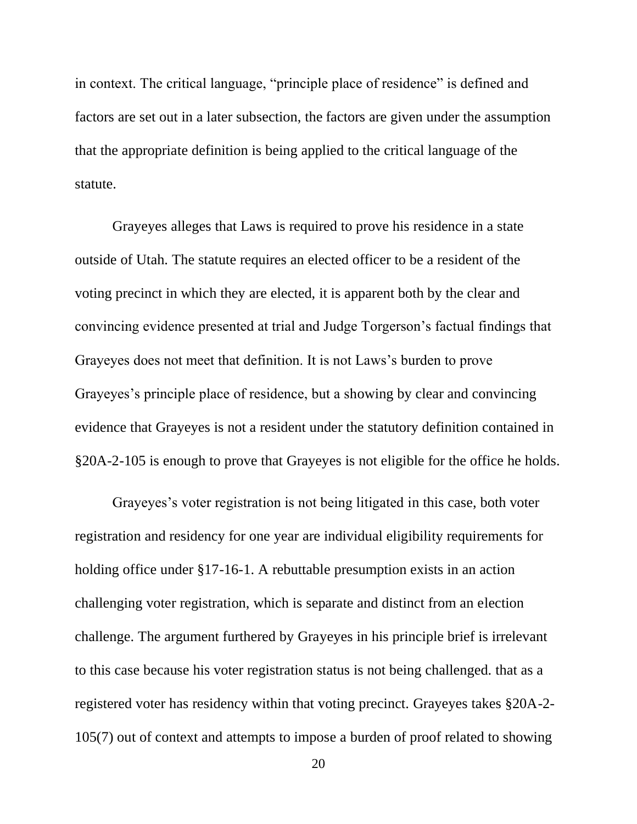in context. The critical language, "principle place of residence" is defined and factors are set out in a later subsection, the factors are given under the assumption that the appropriate definition is being applied to the critical language of the statute.

Grayeyes alleges that Laws is required to prove his residence in a state outside of Utah. The statute requires an elected officer to be a resident of the voting precinct in which they are elected, it is apparent both by the clear and convincing evidence presented at trial and Judge Torgerson's factual findings that Grayeyes does not meet that definition. It is not Laws's burden to prove Grayeyes's principle place of residence, but a showing by clear and convincing evidence that Grayeyes is not a resident under the statutory definition contained in §20A-2-105 is enough to prove that Grayeyes is not eligible for the office he holds.

Grayeyes's voter registration is not being litigated in this case, both voter registration and residency for one year are individual eligibility requirements for holding office under §17-16-1. A rebuttable presumption exists in an action challenging voter registration, which is separate and distinct from an election challenge. The argument furthered by Grayeyes in his principle brief is irrelevant to this case because his voter registration status is not being challenged. that as a registered voter has residency within that voting precinct. Grayeyes takes §20A-2- 105(7) out of context and attempts to impose a burden of proof related to showing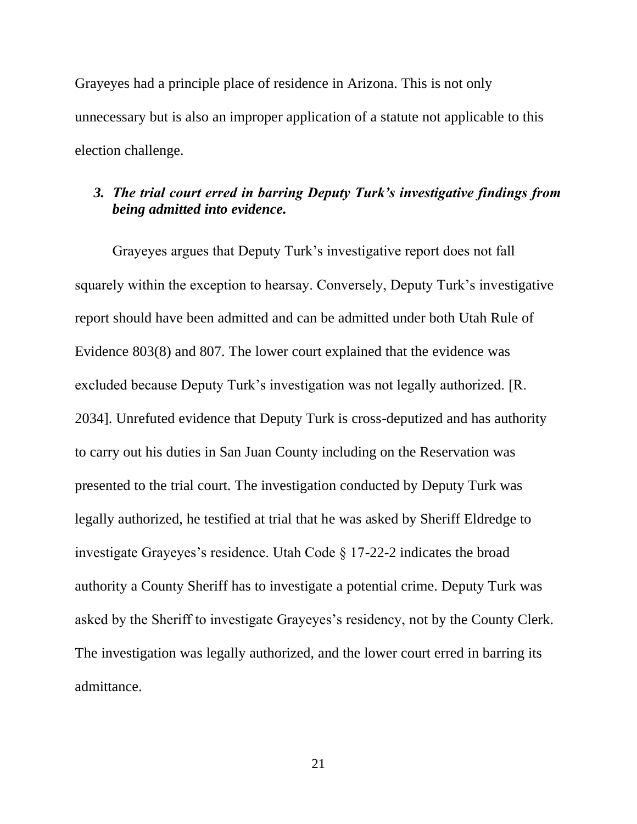Grayeyes had a principle place of residence in Arizona. This is not only unnecessary but is also an improper application of a statute not applicable to this election challenge.

### *3. The trial court erred in barring Deputy Turk's investigative findings from being admitted into evidence.*

Grayeyes argues that Deputy Turk's investigative report does not fall squarely within the exception to hearsay. Conversely, Deputy Turk's investigative report should have been admitted and can be admitted under both Utah Rule of Evidence 803(8) and 807. The lower court explained that the evidence was excluded because Deputy Turk's investigation was not legally authorized. [R. 2034]. Unrefuted evidence that Deputy Turk is cross-deputized and has authority to carry out his duties in San Juan County including on the Reservation was presented to the trial court. The investigation conducted by Deputy Turk was legally authorized, he testified at trial that he was asked by Sheriff Eldredge to investigate Grayeyes's residence. Utah Code § 17-22-2 indicates the broad authority a County Sheriff has to investigate a potential crime. Deputy Turk was asked by the Sheriff to investigate Grayeyes's residency, not by the County Clerk. The investigation was legally authorized, and the lower court erred in barring its admittance.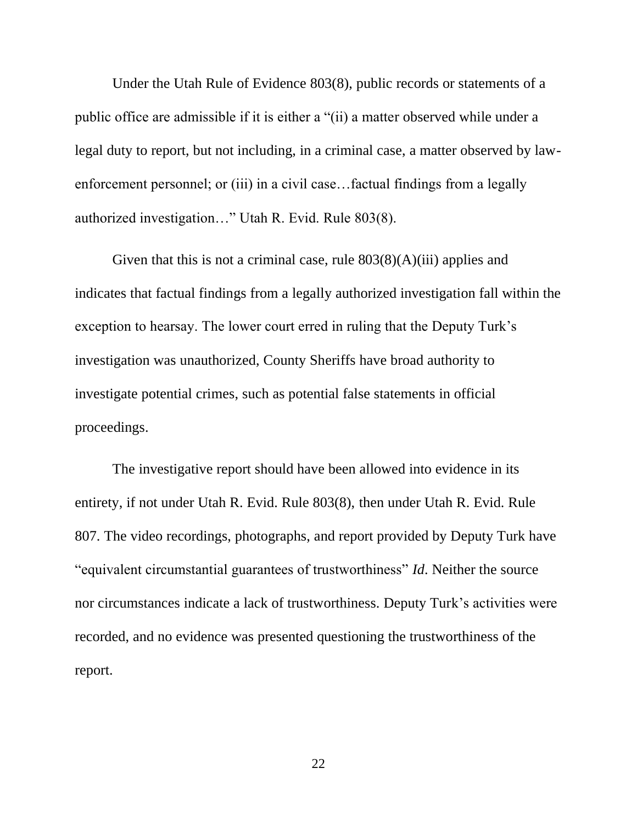Under the Utah Rule of Evidence 803(8), public records or statements of a public office are admissible if it is either a "(ii) a matter observed while under a legal duty to report, but not including, in a criminal case, a matter observed by lawenforcement personnel; or (iii) in a civil case...factual findings from a legally authorized investigation…" Utah R. Evid. Rule 803(8).

Given that this is not a criminal case, rule  $803(8)(A)(iii)$  applies and indicates that factual findings from a legally authorized investigation fall within the exception to hearsay. The lower court erred in ruling that the Deputy Turk's investigation was unauthorized, County Sheriffs have broad authority to investigate potential crimes, such as potential false statements in official proceedings.

The investigative report should have been allowed into evidence in its entirety, if not under Utah R. Evid. Rule 803(8), then under Utah R. Evid. Rule 807. The video recordings, photographs, and report provided by Deputy Turk have "equivalent circumstantial guarantees of trustworthiness" *Id*. Neither the source nor circumstances indicate a lack of trustworthiness. Deputy Turk's activities were recorded, and no evidence was presented questioning the trustworthiness of the report.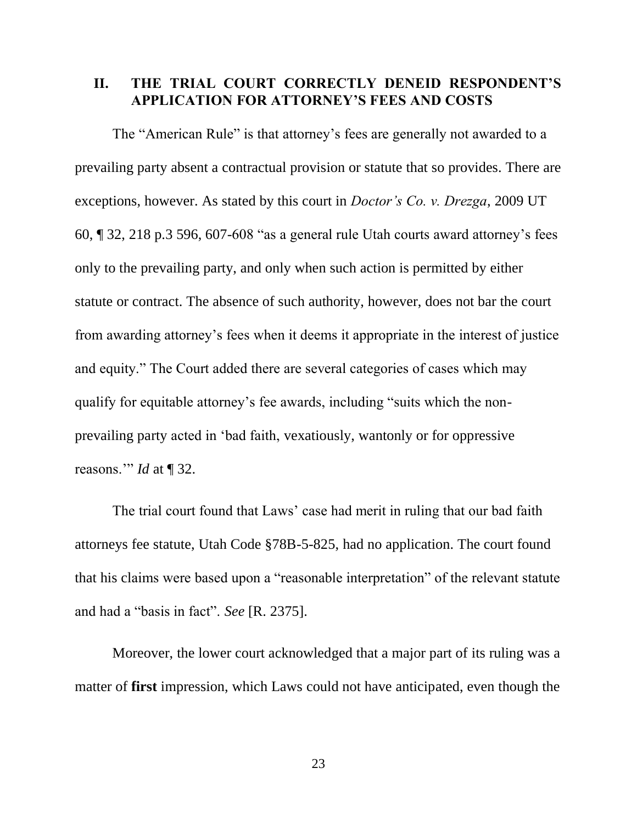#### **II. THE TRIAL COURT CORRECTLY DENEID RESPONDENT'S APPLICATION FOR ATTORNEY'S FEES AND COSTS**

The "American Rule" is that attorney's fees are generally not awarded to a prevailing party absent a contractual provision or statute that so provides. There are exceptions, however. As stated by this court in *Doctor's Co. v. Drezga*, 2009 UT 60, ¶ 32, 218 p.3 596, 607-608 "as a general rule Utah courts award attorney's fees only to the prevailing party, and only when such action is permitted by either statute or contract. The absence of such authority, however, does not bar the court from awarding attorney's fees when it deems it appropriate in the interest of justice and equity." The Court added there are several categories of cases which may qualify for equitable attorney's fee awards, including "suits which the nonprevailing party acted in 'bad faith, vexatiously, wantonly or for oppressive reasons.'" *Id* at ¶ 32.

The trial court found that Laws' case had merit in ruling that our bad faith attorneys fee statute, Utah Code §78B-5-825, had no application. The court found that his claims were based upon a "reasonable interpretation" of the relevant statute and had a "basis in fact". *See* [R. 2375].

Moreover, the lower court acknowledged that a major part of its ruling was a matter of **first** impression, which Laws could not have anticipated, even though the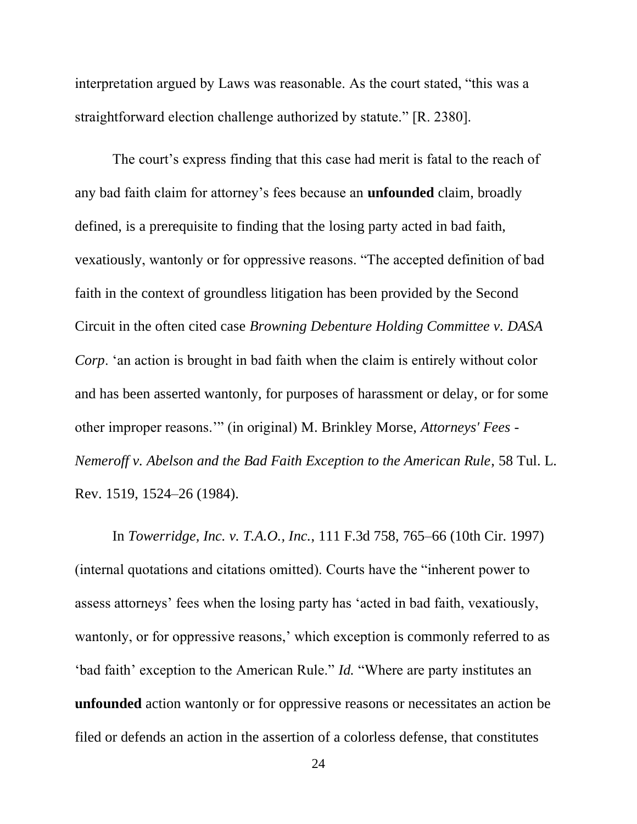interpretation argued by Laws was reasonable. As the court stated, "this was a straightforward election challenge authorized by statute." [R. 2380].

The court's express finding that this case had merit is fatal to the reach of any bad faith claim for attorney's fees because an **unfounded** claim, broadly defined, is a prerequisite to finding that the losing party acted in bad faith, vexatiously, wantonly or for oppressive reasons. "The accepted definition of bad faith in the context of groundless litigation has been provided by the Second Circuit in the often cited case *Browning Debenture Holding Committee v. DASA Corp*. 'an action is brought in bad faith when the claim is entirely without color and has been asserted wantonly, for purposes of harassment or delay, or for some other improper reasons.'" (in original) M. Brinkley Morse, *Attorneys' Fees - Nemeroff v. Abelson and the Bad Faith Exception to the American Rule*, 58 Tul. L. Rev. 1519, 1524–26 (1984).

In *Towerridge, Inc. v. T.A.O., Inc.*, 111 F.3d 758, 765–66 (10th Cir. 1997) (internal quotations and citations omitted). Courts have the "inherent power to assess attorneys' fees when the losing party has 'acted in bad faith, vexatiously, wantonly, or for oppressive reasons,' which exception is commonly referred to as 'bad faith' exception to the American Rule." *Id.* "Where are party institutes an **unfounded** action wantonly or for oppressive reasons or necessitates an action be filed or defends an action in the assertion of a colorless defense, that constitutes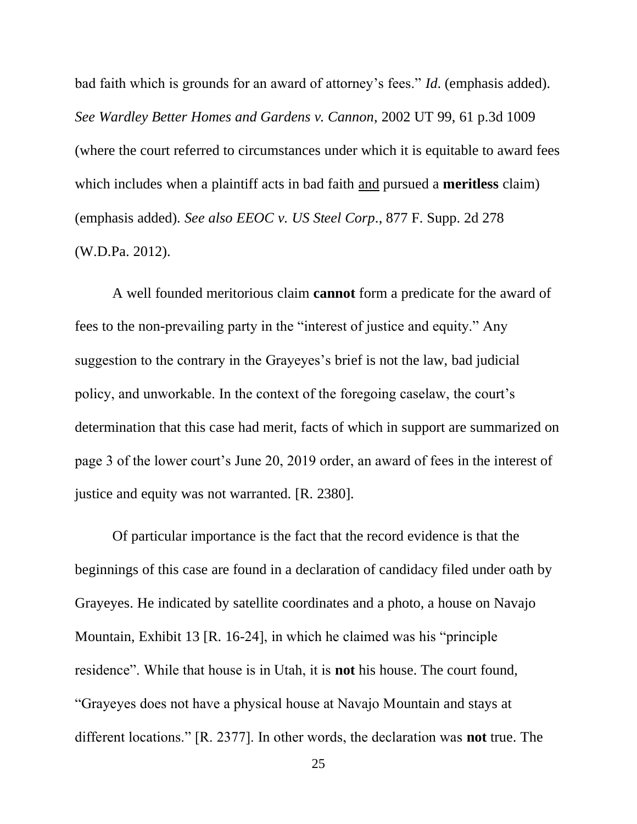bad faith which is grounds for an award of attorney's fees." *Id*. (emphasis added). *See Wardley Better Homes and Gardens v. Cannon*, 2002 UT 99, 61 p.3d 1009 (where the court referred to circumstances under which it is equitable to award fees which includes when a plaintiff acts in bad faith and pursued a **meritless** claim) (emphasis added). *See also EEOC v. US Steel Corp*., 877 F. Supp. 2d 278 (W.D.Pa. 2012).

A well founded meritorious claim **cannot** form a predicate for the award of fees to the non-prevailing party in the "interest of justice and equity." Any suggestion to the contrary in the Grayeyes's brief is not the law, bad judicial policy, and unworkable. In the context of the foregoing caselaw, the court's determination that this case had merit, facts of which in support are summarized on page 3 of the lower court's June 20, 2019 order, an award of fees in the interest of justice and equity was not warranted. [R. 2380].

Of particular importance is the fact that the record evidence is that the beginnings of this case are found in a declaration of candidacy filed under oath by Grayeyes. He indicated by satellite coordinates and a photo, a house on Navajo Mountain, Exhibit 13 [R. 16-24], in which he claimed was his "principle residence". While that house is in Utah, it is **not** his house. The court found, "Grayeyes does not have a physical house at Navajo Mountain and stays at different locations." [R. 2377]. In other words, the declaration was **not** true. The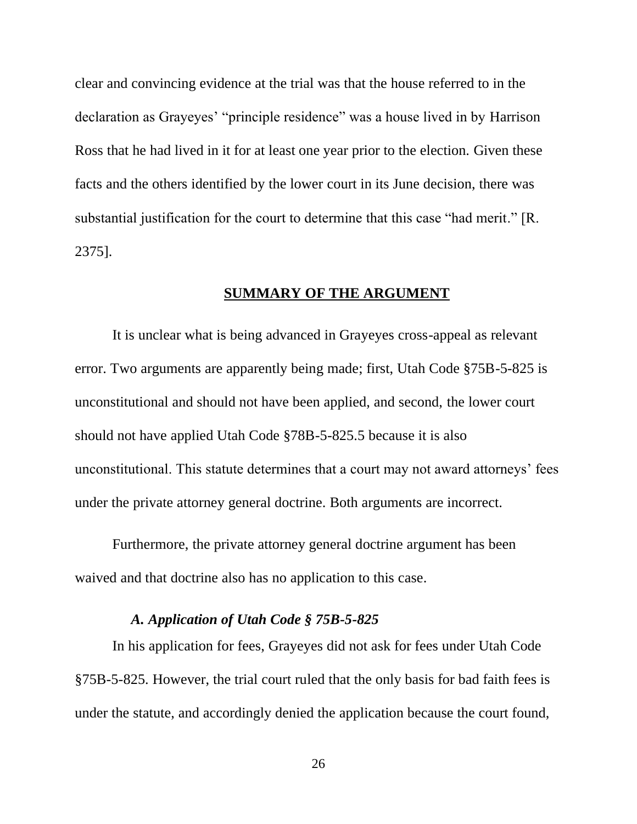clear and convincing evidence at the trial was that the house referred to in the declaration as Grayeyes' "principle residence" was a house lived in by Harrison Ross that he had lived in it for at least one year prior to the election. Given these facts and the others identified by the lower court in its June decision, there was substantial justification for the court to determine that this case "had merit." [R. 2375].

#### **SUMMARY OF THE ARGUMENT**

It is unclear what is being advanced in Grayeyes cross-appeal as relevant error. Two arguments are apparently being made; first, Utah Code §75B-5-825 is unconstitutional and should not have been applied, and second, the lower court should not have applied Utah Code §78B-5-825.5 because it is also unconstitutional. This statute determines that a court may not award attorneys' fees under the private attorney general doctrine. Both arguments are incorrect.

Furthermore, the private attorney general doctrine argument has been waived and that doctrine also has no application to this case.

#### *A. Application of Utah Code § 75B-5-825*

In his application for fees, Grayeyes did not ask for fees under Utah Code §75B-5-825. However, the trial court ruled that the only basis for bad faith fees is under the statute, and accordingly denied the application because the court found,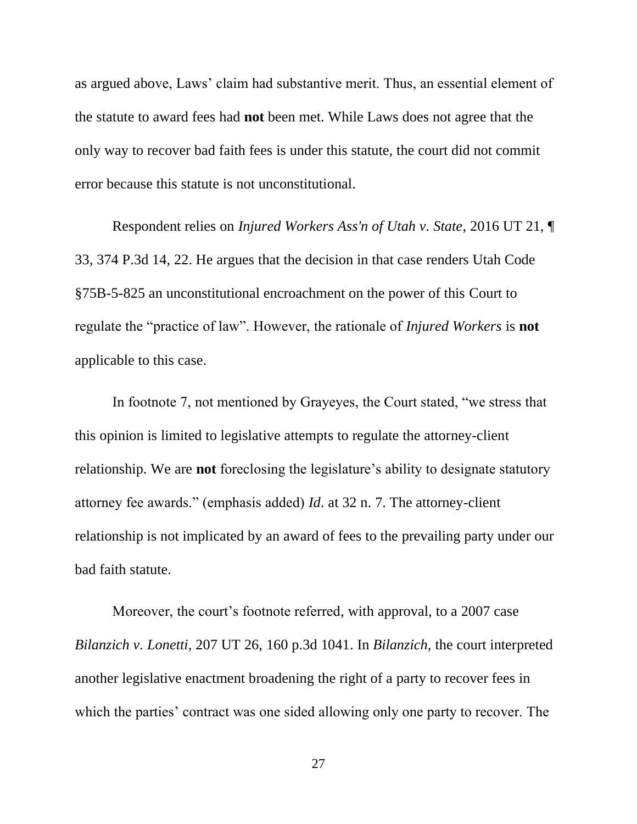as argued above, Laws' claim had substantive merit. Thus, an essential element of the statute to award fees had **not** been met. While Laws does not agree that the only way to recover bad faith fees is under this statute, the court did not commit error because this statute is not unconstitutional.

Respondent relies on *Injured Workers Ass'n of Utah v. State*, 2016 UT 21, ¶ 33, 374 P.3d 14, 22. He argues that the decision in that case renders Utah Code §75B-5-825 an unconstitutional encroachment on the power of this Court to regulate the "practice of law". However, the rationale of *Injured Workers* is **not** applicable to this case.

In footnote 7, not mentioned by Grayeyes, the Court stated, "we stress that this opinion is limited to legislative attempts to regulate the attorney-client relationship. We are **not** foreclosing the legislature's ability to designate statutory attorney fee awards." (emphasis added) *Id*. at 32 n. 7. The attorney-client relationship is not implicated by an award of fees to the prevailing party under our bad faith statute.

Moreover, the court's footnote referred, with approval, to a 2007 case *Bilanzich v. Lonetti*, 207 UT 26, 160 p.3d 1041. In *Bilanzich*, the court interpreted another legislative enactment broadening the right of a party to recover fees in which the parties' contract was one sided allowing only one party to recover. The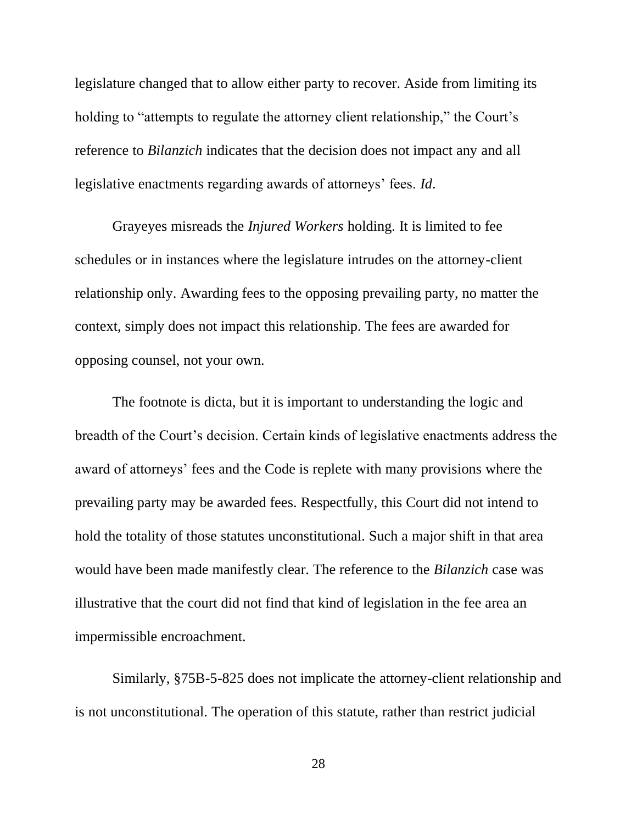legislature changed that to allow either party to recover. Aside from limiting its holding to "attempts to regulate the attorney client relationship," the Court's reference to *Bilanzich* indicates that the decision does not impact any and all legislative enactments regarding awards of attorneys' fees. *Id*.

Grayeyes misreads the *Injured Workers* holding. It is limited to fee schedules or in instances where the legislature intrudes on the attorney-client relationship only. Awarding fees to the opposing prevailing party, no matter the context, simply does not impact this relationship. The fees are awarded for opposing counsel, not your own.

The footnote is dicta, but it is important to understanding the logic and breadth of the Court's decision. Certain kinds of legislative enactments address the award of attorneys' fees and the Code is replete with many provisions where the prevailing party may be awarded fees. Respectfully, this Court did not intend to hold the totality of those statutes unconstitutional. Such a major shift in that area would have been made manifestly clear. The reference to the *Bilanzich* case was illustrative that the court did not find that kind of legislation in the fee area an impermissible encroachment.

Similarly, §75B-5-825 does not implicate the attorney-client relationship and is not unconstitutional. The operation of this statute, rather than restrict judicial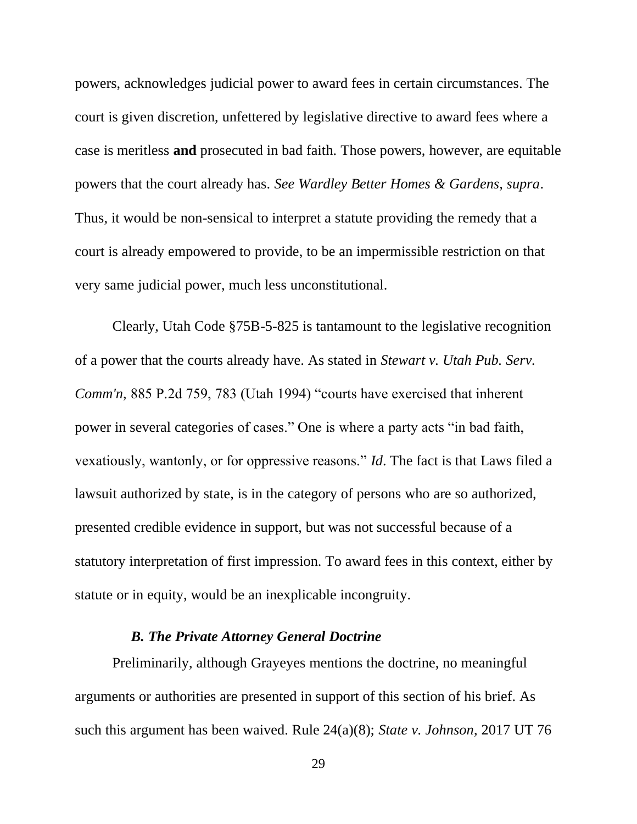powers, acknowledges judicial power to award fees in certain circumstances. The court is given discretion, unfettered by legislative directive to award fees where a case is meritless **and** prosecuted in bad faith. Those powers, however, are equitable powers that the court already has. *See Wardley Better Homes & Gardens, supra*. Thus, it would be non-sensical to interpret a statute providing the remedy that a court is already empowered to provide, to be an impermissible restriction on that very same judicial power, much less unconstitutional.

Clearly, Utah Code §75B-5-825 is tantamount to the legislative recognition of a power that the courts already have. As stated in *Stewart v. Utah Pub. Serv. Comm'n*, 885 P.2d 759, 783 (Utah 1994) "courts have exercised that inherent power in several categories of cases." One is where a party acts "in bad faith, vexatiously, wantonly, or for oppressive reasons." *Id*. The fact is that Laws filed a lawsuit authorized by state, is in the category of persons who are so authorized, presented credible evidence in support, but was not successful because of a statutory interpretation of first impression. To award fees in this context, either by statute or in equity, would be an inexplicable incongruity.

#### *B. The Private Attorney General Doctrine*

Preliminarily, although Grayeyes mentions the doctrine, no meaningful arguments or authorities are presented in support of this section of his brief. As such this argument has been waived. Rule 24(a)(8); *State v. Johnson*, 2017 UT 76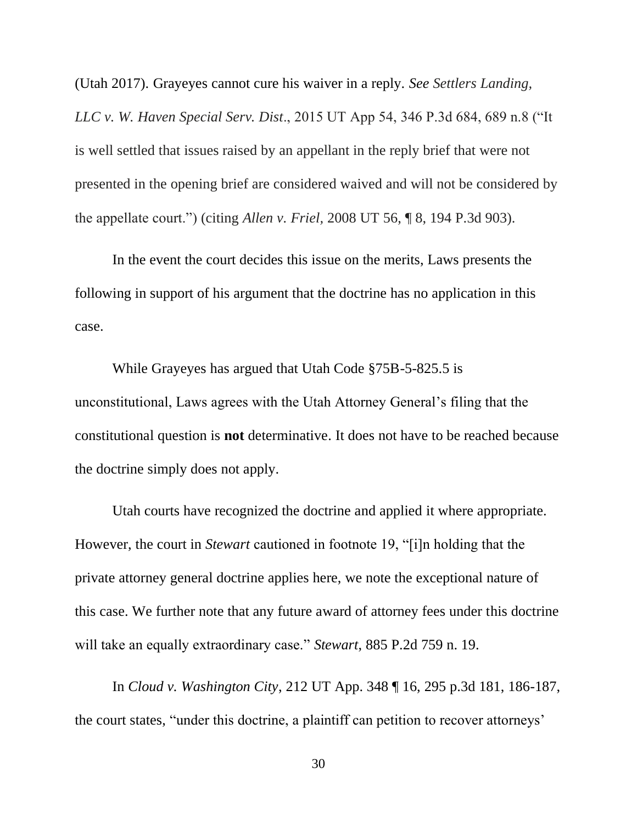(Utah 2017). Grayeyes cannot cure his waiver in a reply. *See Settlers Landing, LLC v. W. Haven Special Serv. Dist*., 2015 UT App 54, 346 P.3d 684, 689 n.8 ("It is well settled that issues raised by an appellant in the reply brief that were not presented in the opening brief are considered waived and will not be considered by the appellate court.") (citing *Allen v. Friel,* 2008 UT 56, ¶ 8, 194 P.3d 903).

In the event the court decides this issue on the merits, Laws presents the following in support of his argument that the doctrine has no application in this case.

While Grayeyes has argued that Utah Code §75B-5-825.5 is unconstitutional, Laws agrees with the Utah Attorney General's filing that the constitutional question is **not** determinative. It does not have to be reached because the doctrine simply does not apply.

Utah courts have recognized the doctrine and applied it where appropriate. However, the court in *Stewart* cautioned in footnote 19, "[i]n holding that the private attorney general doctrine applies here, we note the exceptional nature of this case. We further note that any future award of attorney fees under this doctrine will take an equally extraordinary case." *Stewart*, 885 P.2d 759 n. 19.

In *Cloud v. Washington City*, 212 UT App. 348 ¶ 16, 295 p.3d 181, 186-187, the court states, "under this doctrine, a plaintiff can petition to recover attorneys'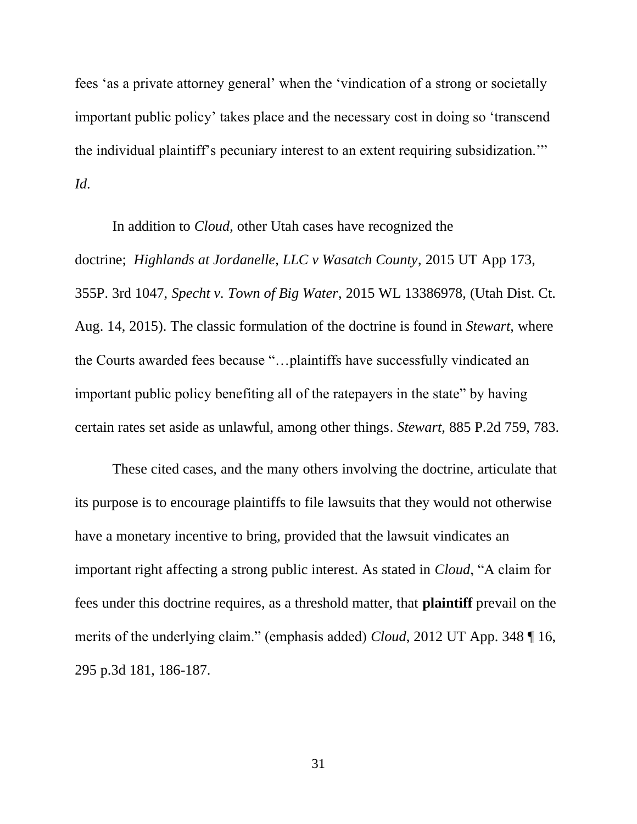fees 'as a private attorney general' when the 'vindication of a strong or societally important public policy' takes place and the necessary cost in doing so 'transcend the individual plaintiff's pecuniary interest to an extent requiring subsidization.'" *Id*.

In addition to *Cloud*, other Utah cases have recognized the doctrine; *Highlands at Jordanelle, LLC v Wasatch County*, 2015 UT App 173, 355P. 3rd 1047, *Specht v. Town of Big Water*, 2015 WL 13386978, (Utah Dist. Ct. Aug. 14, 2015). The classic formulation of the doctrine is found in *Stewart*, where the Courts awarded fees because "…plaintiffs have successfully vindicated an important public policy benefiting all of the ratepayers in the state" by having certain rates set aside as unlawful, among other things. *Stewart*, 885 P.2d 759, 783.

These cited cases, and the many others involving the doctrine, articulate that its purpose is to encourage plaintiffs to file lawsuits that they would not otherwise have a monetary incentive to bring, provided that the lawsuit vindicates an important right affecting a strong public interest. As stated in *Cloud*, "A claim for fees under this doctrine requires, as a threshold matter, that **plaintiff** prevail on the merits of the underlying claim." (emphasis added) *Cloud*, 2012 UT App. 348 ¶ 16, 295 p.3d 181, 186-187.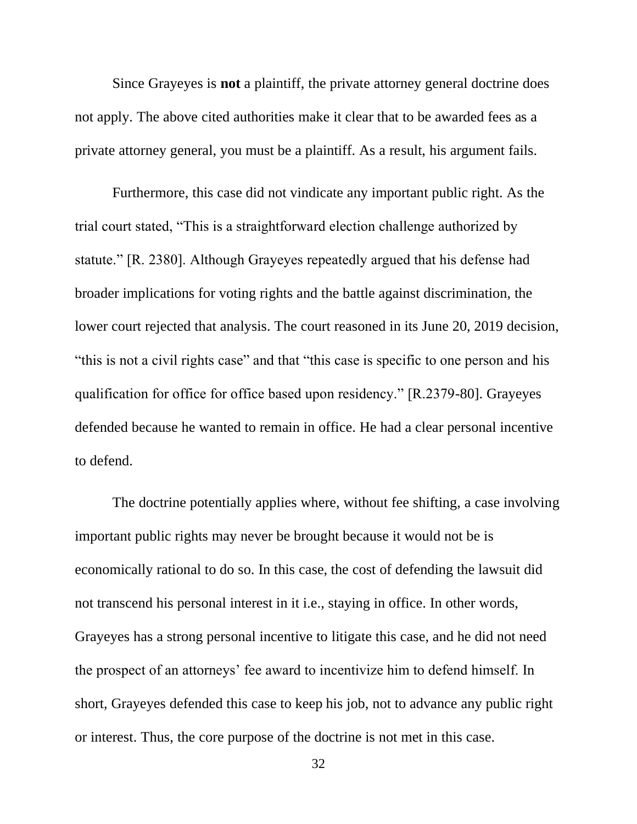Since Grayeyes is **not** a plaintiff, the private attorney general doctrine does not apply. The above cited authorities make it clear that to be awarded fees as a private attorney general, you must be a plaintiff. As a result, his argument fails.

Furthermore, this case did not vindicate any important public right. As the trial court stated, "This is a straightforward election challenge authorized by statute." [R. 2380]. Although Grayeyes repeatedly argued that his defense had broader implications for voting rights and the battle against discrimination, the lower court rejected that analysis. The court reasoned in its June 20, 2019 decision, "this is not a civil rights case" and that "this case is specific to one person and his qualification for office for office based upon residency." [R.2379-80]. Grayeyes defended because he wanted to remain in office. He had a clear personal incentive to defend.

The doctrine potentially applies where, without fee shifting, a case involving important public rights may never be brought because it would not be is economically rational to do so. In this case, the cost of defending the lawsuit did not transcend his personal interest in it i.e., staying in office. In other words, Grayeyes has a strong personal incentive to litigate this case, and he did not need the prospect of an attorneys' fee award to incentivize him to defend himself. In short, Grayeyes defended this case to keep his job, not to advance any public right or interest. Thus, the core purpose of the doctrine is not met in this case.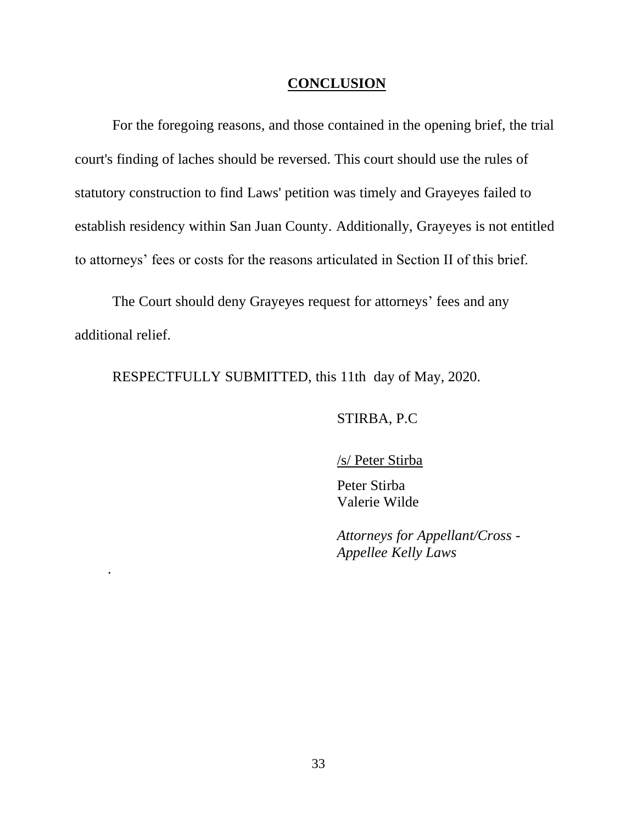#### **CONCLUSION**

For the foregoing reasons, and those contained in the opening brief, the trial court's finding of laches should be reversed. This court should use the rules of statutory construction to find Laws' petition was timely and Grayeyes failed to establish residency within San Juan County. Additionally, Grayeyes is not entitled to attorneys' fees or costs for the reasons articulated in Section II of this brief.

The Court should deny Grayeyes request for attorneys' fees and any additional relief.

RESPECTFULLY SUBMITTED, this 11th day of May, 2020.

.

#### STIRBA, P.C

#### /s/ Peter Stirba

Peter Stirba Valerie Wilde

*Attorneys for Appellant/Cross - Appellee Kelly Laws*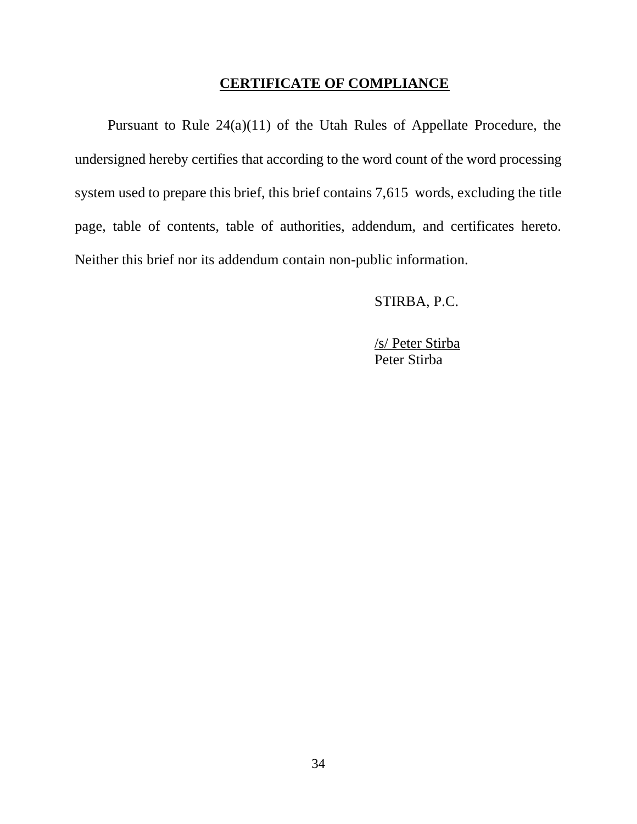#### **CERTIFICATE OF COMPLIANCE**

Pursuant to Rule 24(a)(11) of the Utah Rules of Appellate Procedure, the undersigned hereby certifies that according to the word count of the word processing system used to prepare this brief, this brief contains 7,615 words, excluding the title page, table of contents, table of authorities, addendum, and certificates hereto. Neither this brief nor its addendum contain non-public information.

STIRBA, P.C.

/s/ Peter Stirba Peter Stirba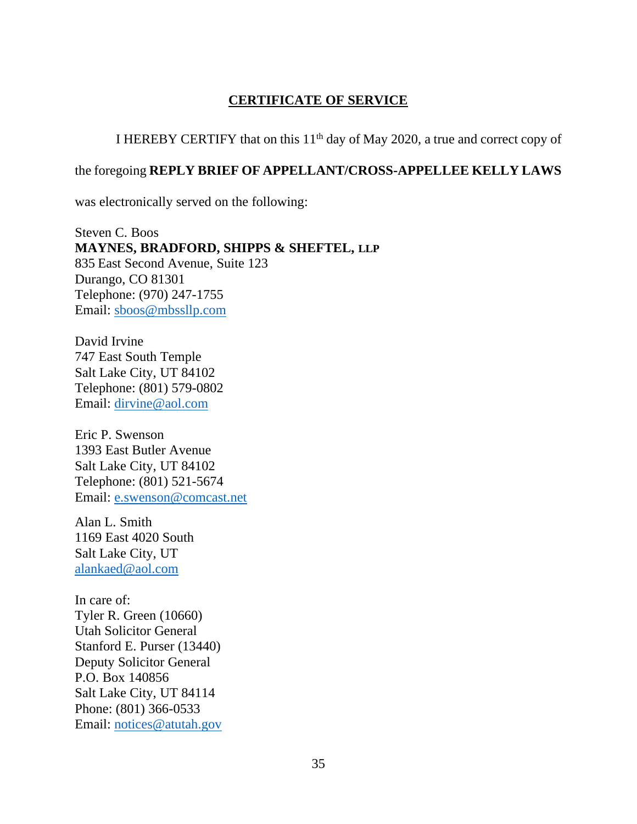## **CERTIFICATE OF SERVICE**

I HEREBY CERTIFY that on this  $11<sup>th</sup>$  day of May 2020, a true and correct copy of

#### the foregoing **REPLY BRIEF OF APPELLANT/CROSS-APPELLEE KELLY LAWS**

was electronically served on the following:

Steven C. Boos **MAYNES, BRADFORD, SHIPPS & SHEFTEL, LLP** 835 East Second Avenue, Suite 123 Durango, CO 81301 Telephone: (970) 247-1755 Email: sboos@mbssllp.com

David Irvine 747 East South Temple Salt Lake City, UT 84102 Telephone: (801) 579-0802 Email: dirvine@aol.com

Eric P. Swenson 1393 East Butler Avenue Salt Lake City, UT 84102 Telephone: (801) 521-5674 Email: e.swenson@comcast.net

Alan L. Smith 1169 East 4020 South Salt Lake City, UT alankaed@aol.com

In care of: Tyler R. Green (10660) Utah Solicitor General Stanford E. Purser (13440) Deputy Solicitor General P.O. Box 140856 Salt Lake City, UT 84114 Phone: (801) 366-0533 Email: notices@atutah.gov